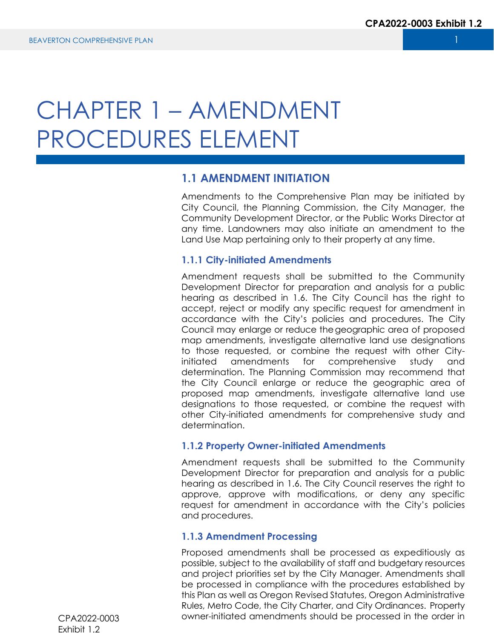# CHAPTER 1 – AMENDMENT PROCEDURES ELEMENT

# **1.1 AMENDMENT INITIATION**

Amendments to the Comprehensive Plan may be initiated by City Council, the Planning Commission, the City Manager, the Community Development Director, or the Public Works Director at any time. Landowners may also initiate an amendment to the Land Use Map pertaining only to their property at any time.

#### **1.1.1 City-initiated Amendments**

Amendment requests shall be submitted to the Community Development Director for preparation and analysis for a public hearing as described in 1.6. The City Council has the right to accept, reject or modify any specific request for amendment in accordance with the City's policies and procedures. The City Council may enlarge or reduce the geographic area of proposed map amendments, investigate alternative land use designations to those requested, or combine the request with other Cityinitiated amendments for comprehensive study and determination. The Planning Commission may recommend that the City Council enlarge or reduce the geographic area of proposed map amendments, investigate alternative land use designations to those requested, or combine the request with other City-initiated amendments for comprehensive study and determination.

#### **1.1.2 Property Owner-initiated Amendments**

Amendment requests shall be submitted to the Community Development Director for preparation and analysis for a public hearing as described in 1.6. The City Council reserves the right to approve, approve with modifications, or deny any specific request for amendment in accordance with the City's policies and procedures.

#### **1.1.3 Amendment Processing**

Proposed amendments shall be processed as expeditiously as possible, subject to the availability of staff and budgetary resources and project priorities set by the City Manager. Amendments shall be processed in compliance with the procedures established by this Plan as well as Oregon Revised Statutes, Oregon Administrative Rules, Metro Code, the City Charter, and City Ordinances. Property owner-initiated amendments should be processed in the order in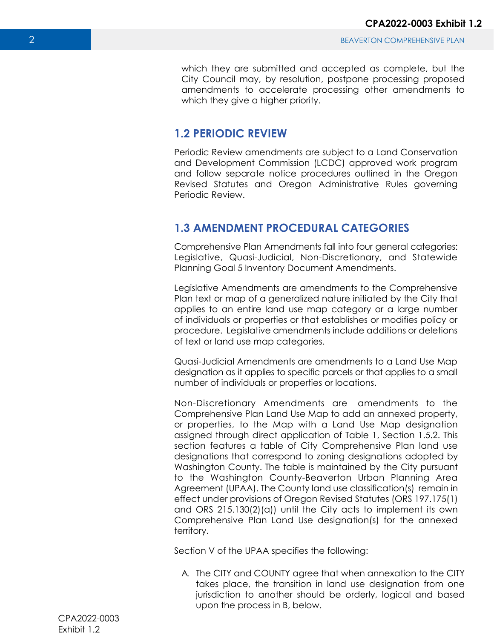which they are submitted and accepted as complete, but the City Council may, by resolution, postpone processing proposed amendments to accelerate processing other amendments to which they give a higher priority.

# **1.2 PERIODIC REVIEW**

Periodic Review amendments are subject to a Land Conservation and Development Commission (LCDC) approved work program and follow separate notice procedures outlined in the Oregon Revised Statutes and Oregon Administrative Rules governing Periodic Review.

# **1.3 AMENDMENT PROCEDURAL CATEGORIES**

Comprehensive Plan Amendments fall into four general categories: Legislative, Quasi-Judicial, Non-Discretionary, and Statewide Planning Goal 5 Inventory Document Amendments.

Legislative Amendments are amendments to the Comprehensive Plan text or map of a generalized nature initiated by the City that applies to an entire land use map category or a large number of individuals or properties or that establishes or modifies policy or procedure. Legislative amendments include additions or deletions of text or land use map categories.

Quasi-Judicial Amendments are amendments to a Land Use Map designation as it applies to specific parcels or that applies to a small number of individuals or properties or locations.

Non-Discretionary Amendments are amendments to the Comprehensive Plan Land Use Map to add an annexed property, or properties, to the Map with a Land Use Map designation assigned through direct application of Table 1, Section 1.5.2. This section features a table of City Comprehensive Plan land use designations that correspond to zoning designations adopted by Washington County. The table is maintained by the City pursuant to the Washington County-Beaverton Urban Planning Area Agreement (UPAA). The County land use classification(s) remain in effect under provisions of Oregon Revised Statutes (ORS 197.175(1) and ORS 215.130(2)(a)) until the City acts to implement its own Comprehensive Plan Land Use designation(s) for the annexed territory.

Section V of the UPAA specifies the following:

A. The CITY and COUNTY agree that when annexation to the CITY takes place, the transition in land use designation from one jurisdiction to another should be orderly, logical and based upon the process in B, below.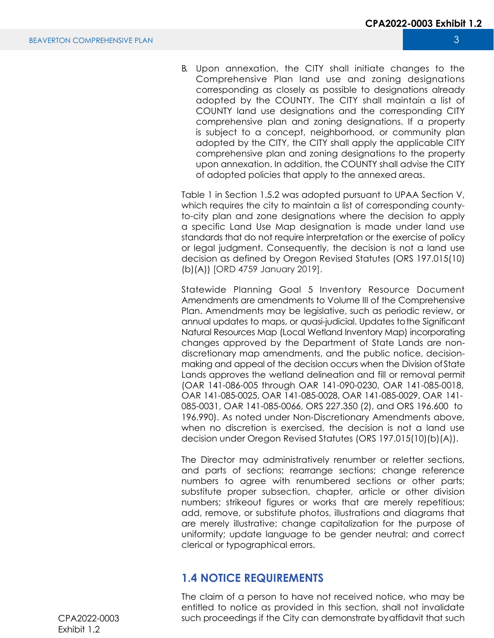B. Upon annexation, the CITY shall initiate changes to the Comprehensive Plan land use and zoning designations corresponding as closely as possible to designations already adopted by the COUNTY. The CITY shall maintain a list of COUNTY land use designations and the corresponding CITY comprehensive plan and zoning designations. If a property is subject to a concept, neighborhood, or community plan adopted by the CITY, the CITY shall apply the applicable CITY comprehensive plan and zoning designations to the property upon annexation. In addition, the COUNTY shall advise the CITY of adopted policies that apply to the annexed areas.

Table 1 in Section 1.5.2 was adopted pursuant to UPAA Section V, which requires the city to maintain a list of corresponding countyto-city plan and zone designations where the decision to apply a specific Land Use Map designation is made under land use standards that do not require interpretation or the exercise of policy or legal judgment. Consequently, the decision is not a land use decision as defined by Oregon Revised Statutes (ORS 197.015(10) (b)(A)) [ORD 4759 January 2019].

Statewide Planning Goal 5 Inventory Resource Document Amendments are amendments to Volume III of the Comprehensive Plan. Amendments may be legislative, such as periodic review, or annual updates to maps, or quasi-judicial. Updates to the Significant Natural Resources Map (Local Wetland Inventory Map) incorporating changes approved by the Department of State Lands are nondiscretionary map amendments, and the public notice, decisionmaking and appeal of the decision occurs when the Division of State Lands approves the wetland delineation and fill or removal permit (OAR 141-086-005 through OAR 141-090-0230, OAR 141-085-0018, OAR 141-085-0025, OAR 141-085-0028, OAR 141-085-0029, OAR 141- 085-0031, OAR 141-085-0066, ORS 227.350 (2), and ORS 196.600 to 196.990). As noted under Non-Discretionary Amendments above, when no discretion is exercised, the decision is not a land use decision under Oregon Revised Statutes (ORS 197.015(10)(b)(A)).

The Director may administratively renumber or reletter sections, and parts of sections; rearrange sections; change reference numbers to agree with renumbered sections or other parts; substitute proper subsection, chapter, article or other division numbers; strikeout figures or works that are merely repetitious; add, remove, or substitute photos, illustrations and diagrams that are merely illustrative; change capitalization for the purpose of uniformity; update language to be gender neutral; and correct clerical or typographical errors.

# **1.4 NOTICE REQUIREMENTS**

The claim of a person to have not received notice, who may be entitled to notice as provided in this section, shall not invalidate such proceedings if the City can demonstrate by affidavit that such

CPA2022-0003 Exhibit 1.2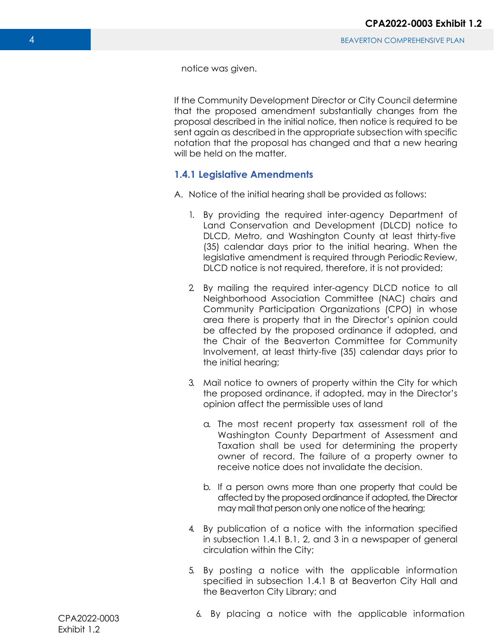notice was given.

If the Community Development Director or City Council determine that the proposed amendment substantially changes from the proposal described in the initial notice, then notice is required to be sent again as described in the appropriate subsection with specific notation that the proposal has changed and that a new hearing will be held on the matter.

### **1.4.1 Legislative Amendments**

- A. Notice of the initial hearing shall be provided as follows:
	- 1. By providing the required inter-agency Department of Land Conservation and Development (DLCD) notice to DLCD, Metro, and Washington County at least thirty-five (35) calendar days prior to the initial hearing. When the legislative amendment is required through Periodic Review, DLCD notice is not required, therefore, it is not provided;
	- 2. By mailing the required inter-agency DLCD notice to all Neighborhood Association Committee (NAC) chairs and Community Participation Organizations (CPO) in whose area there is property that in the Director's opinion could be affected by the proposed ordinance if adopted, and the Chair of the Beaverton Committee for Community Involvement, at least thirty-five (35) calendar days prior to the initial hearing;
	- 3. Mail notice to owners of property within the City for which the proposed ordinance, if adopted, may in the Director's opinion affect the permissible uses of land
		- a. The most recent property tax assessment roll of the Washington County Department of Assessment and Taxation shall be used for determining the property owner of record. The failure of a property owner to receive notice does not invalidate the decision.
		- b. If a person owns more than one property that could be affected by the proposed ordinance if adopted, the Director may mail that person only one notice of the hearing;
	- 4. By publication of a notice with the information specified in subsection 1.4.1 B.1, 2, and 3 in a newspaper of general circulation within the City;
	- 5. By posting a notice with the applicable information specified in subsection 1.4.1 B at Beaverton City Hall and the Beaverton City Library; and

6. By placing a notice with the applicable information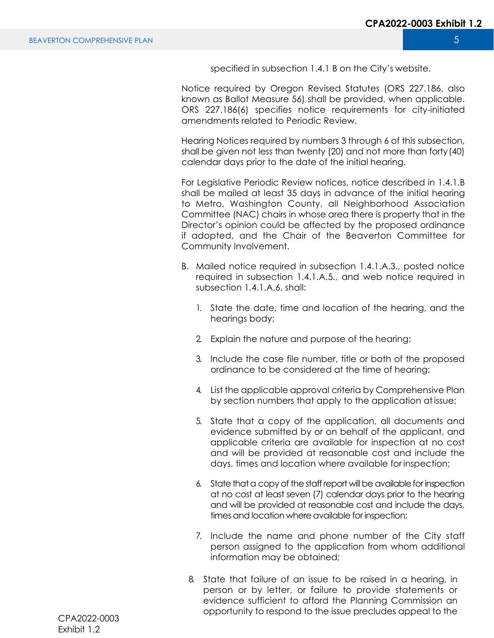specified in subsection 1.4.1 B on the City's website.

Notice required by Oregon Revised Statutes (ORS 227.186, also known as Ballot Measure 56) shall be provided, when applicable. ORS 227.186(6) specifies notice requirements for city-initiated amendments related to Periodic Review.

Hearing Notices required by numbers 3 through 6 of this subsection, shall be given not less than twenty (20) and not more than forty (40) calendar days prior to the date of the initial hearing.

For Legislative Periodic Review notices, notice described in 1.4.1.B shall be mailed at least 35 days in advance of the initial hearing to Metro, Washington County, all Neighborhood Association Committee (NAC) chairs in whose area there is property that in the Director's opinion could be affected by the proposed ordinance if adopted, and the Chair of the Beaverton Committee for Community Involvement.

- B. Mailed notice required in subsection 1.4.1.A.3., posted notice required in subsection 1.4.1.A.5., and web notice required in subsection 1.4.1.A.6. shall:
	- 1. State the date, time and location of the hearing, and the hearings body;
	- 2. Explain the nature and purpose of the hearing;
	- 3. Include the case file number, title or both of the proposed ordinance to be considered at the time of hearing;
	- 4. List the applicable approval criteria by Comprehensive Plan by section numbers that apply to the application at issue;
	- 5. State that a copy of the application, all documents and evidence submitted by or on behalf of the applicant, and applicable criteria are available for inspection at no cost and will be provided at reasonable cost and include the days, times and location where available for inspection;
	- 6. State that a copy of the staff report will be available for inspection at no cost at least seven (7) calendar days prior to the hearing and will be provided at reasonable cost and include the days, times and location where available for inspection;
	- 7. Include the name and phone number of the City staff person assigned to the application from whom additional information may be obtained;
	- 8. State that failure of an issue to be raised in a hearing, in person or by letter, or failure to provide statements or evidence sufficient to afford the Planning Commission an opportunity to respond to the issue precludes appeal to the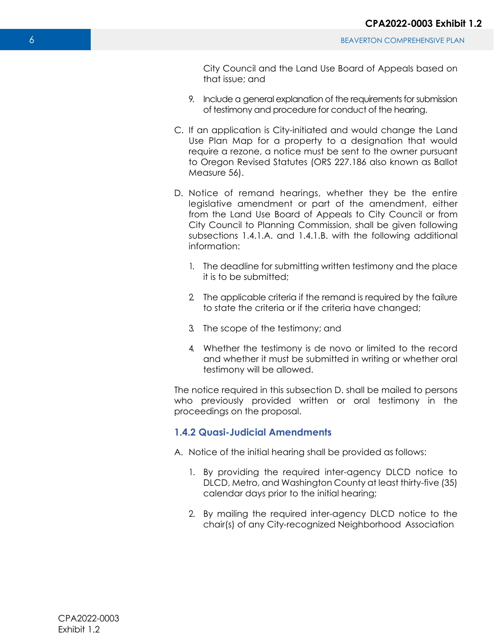City Council and the Land Use Board of Appeals based on that issue; and

- 9. Include a general explanation of the requirements for submission of testimony and procedure for conduct of the hearing.
- C. If an application is City-initiated and would change the Land Use Plan Map for a property to a designation that would require a rezone, a notice must be sent to the owner pursuant to Oregon Revised Statutes (ORS 227.186 also known as Ballot Measure 56).
- D. Notice of remand hearings, whether they be the entire legislative amendment or part of the amendment, either from the Land Use Board of Appeals to City Council or from City Council to Planning Commission, shall be given following subsections 1.4.1.A. and 1.4.1.B. with the following additional information:
	- 1. The deadline for submitting written testimony and the place it is to be submitted;
	- 2. The applicable criteria if the remand is required by the failure to state the criteria or if the criteria have changed;
	- 3. The scope of the testimony; and
	- 4. Whether the testimony is de novo or limited to the record and whether it must be submitted in writing or whether oral testimony will be allowed.

The notice required in this subsection D. shall be mailed to persons who previously provided written or oral testimony in the proceedings on the proposal.

#### **1.4.2 Quasi-Judicial Amendments**

- A. Notice of the initial hearing shall be provided as follows:
	- 1. By providing the required inter-agency DLCD notice to DLCD, Metro, and Washington County at least thirty-five (35) calendar days prior to the initial hearing;
	- 2. By mailing the required inter-agency DLCD notice to the chair(s) of any City-recognized Neighborhood Association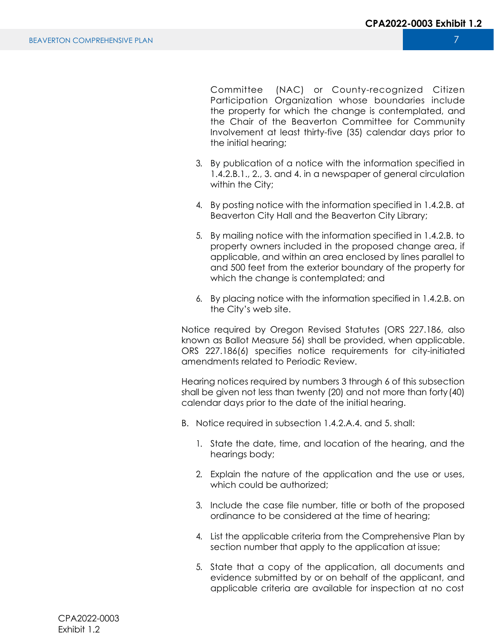Committee (NAC) or County-recognized Citizen Participation Organization whose boundaries include the property for which the change is contemplated, and the Chair of the Beaverton Committee for Community Involvement at least thirty-five (35) calendar days prior to the initial hearing;

- 3. By publication of a notice with the information specified in 1.4.2.B.1., 2., 3. and 4. in a newspaper of general circulation within the City;
- 4. By posting notice with the information specified in 1.4.2.B. at Beaverton City Hall and the Beaverton City Library;
- 5. By mailing notice with the information specified in 1.4.2.B. to property owners included in the proposed change area, if applicable, and within an area enclosed by lines parallel to and 500 feet from the exterior boundary of the property for which the change is contemplated; and
- 6. By placing notice with the information specified in 1.4.2.B. on the City's web site.

Notice required by Oregon Revised Statutes (ORS 227.186, also known as Ballot Measure 56) shall be provided, when applicable. ORS 227.186(6) specifies notice requirements for city-initiated amendments related to Periodic Review.

Hearing notices required by numbers 3 through 6 of this subsection shall be given not less than twenty (20) and not more than forty (40) calendar days prior to the date of the initial hearing.

- B. Notice required in subsection 1.4.2.A.4. and 5. shall:
	- 1. State the date, time, and location of the hearing, and the hearings body;
	- 2. Explain the nature of the application and the use or uses, which could be authorized:
	- 3. Include the case file number, title or both of the proposed ordinance to be considered at the time of hearing;
	- 4. List the applicable criteria from the Comprehensive Plan by section number that apply to the application at issue;
	- 5. State that a copy of the application, all documents and evidence submitted by or on behalf of the applicant, and applicable criteria are available for inspection at no cost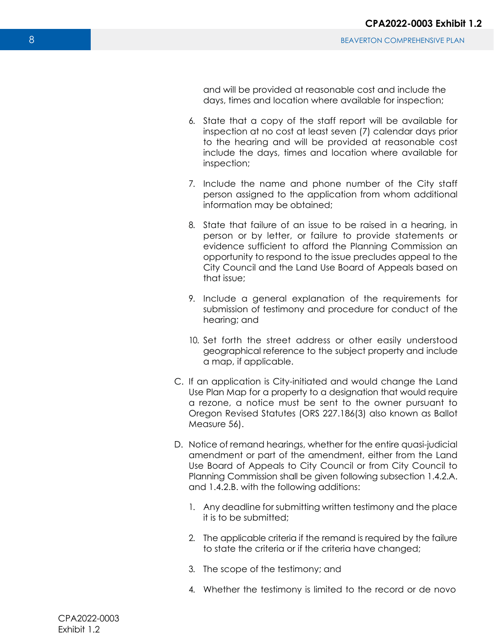- 6. State that a copy of the staff report will be available for inspection at no cost at least seven (7) calendar days prior to the hearing and will be provided at reasonable cost include the days, times and location where available for inspection;
- 7. Include the name and phone number of the City staff person assigned to the application from whom additional information may be obtained;
- 8. State that failure of an issue to be raised in a hearing, in person or by letter, or failure to provide statements or evidence sufficient to afford the Planning Commission an opportunity to respond to the issue precludes appeal to the City Council and the Land Use Board of Appeals based on that issue;
- 9. Include a general explanation of the requirements for submission of testimony and procedure for conduct of the hearing; and
- 10. Set forth the street address or other easily understood geographical reference to the subject property and include a map, if applicable.
- C. If an application is City-initiated and would change the Land Use Plan Map for a property to a designation that would require a rezone, a notice must be sent to the owner pursuant to Oregon Revised Statutes (ORS 227.186(3) also known as Ballot Measure 56).
- D. Notice of remand hearings, whether for the entire quasi-judicial amendment or part of the amendment, either from the Land Use Board of Appeals to City Council or from City Council to Planning Commission shall be given following subsection 1.4.2.A. and 1.4.2.B. with the following additions:
	- 1. Any deadline for submitting written testimony and the place it is to be submitted;
	- 2. The applicable criteria if the remand is required by the failure to state the criteria or if the criteria have changed;
	- 3. The scope of the testimony; and
	- 4. Whether the testimony is limited to the record or de novo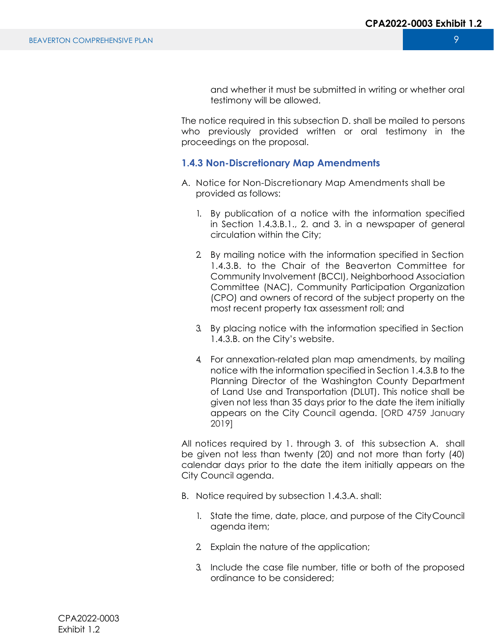and whether it must be submitted in writing or whether oral testimony will be allowed.

The notice required in this subsection D. shall be mailed to persons who previously provided written or oral testimony in the proceedings on the proposal.

#### **1.4.3 Non-Discretionary Map Amendments**

- A. Notice for Non-Discretionary Map Amendments shall be provided as follows:
	- 1. By publication of a notice with the information specified in Section 1.4.3.B.1., 2. and 3. in a newspaper of general circulation within the City;
	- 2. By mailing notice with the information specified in Section 1.4.3.B. to the Chair of the Beaverton Committee for Community Involvement (BCCI), Neighborhood Association Committee (NAC), Community Participation Organization (CPO) and owners of record of the subject property on the most recent property tax assessment roll; and
	- 3. By placing notice with the information specified in Section 1.4.3.B. on the City's website.
	- 4. For annexation-related plan map amendments, by mailing notice with the information specified in Section 1.4.3.B to the Planning Director of the Washington County Department of Land Use and Transportation (DLUT). This notice shall be given not less than 35 days prior to the date the item initially appears on the City Council agenda. [ORD 4759 January 2019]

All notices required by 1. through 3. of this subsection A. shall be given not less than twenty (20) and not more than forty (40) calendar days prior to the date the item initially appears on the City Council agenda.

- B. Notice required by subsection 1.4.3.A. shall:
	- 1. State the time, date, place, and purpose of the City Council agenda item;
	- 2. Explain the nature of the application;
	- 3. Include the case file number, title or both of the proposed ordinance to be considered;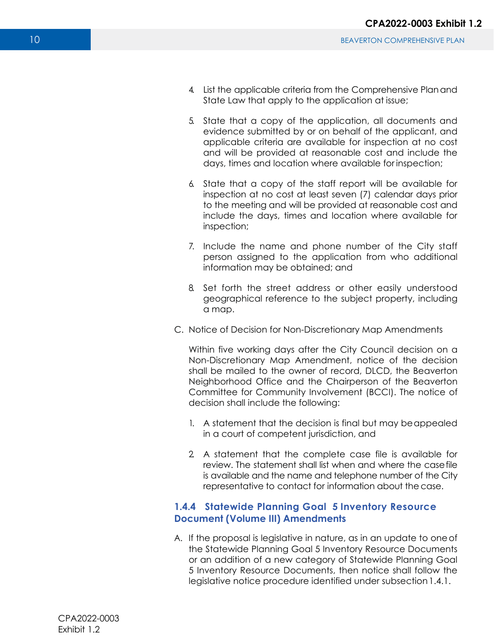- 4. List the applicable criteria from the Comprehensive Plan and State Law that apply to the application at issue;
- 5. State that a copy of the application, all documents and evidence submitted by or on behalf of the applicant, and applicable criteria are available for inspection at no cost and will be provided at reasonable cost and include the days, times and location where available for inspection;
- 6. State that a copy of the staff report will be available for inspection at no cost at least seven (7) calendar days prior to the meeting and will be provided at reasonable cost and include the days, times and location where available for inspection;
- 7. Include the name and phone number of the City staff person assigned to the application from who additional information may be obtained; and
- 8. Set forth the street address or other easily understood geographical reference to the subject property, including a map.
- C. Notice of Decision for Non-Discretionary Map Amendments

Within five working days after the City Council decision on a Non-Discretionary Map Amendment, notice of the decision shall be mailed to the owner of record, DLCD, the Beaverton Neighborhood Office and the Chairperson of the Beaverton Committee for Community Involvement (BCCI). The notice of decision shall include the following:

- 1. A statement that the decision is final but may be appealed in a court of competent jurisdiction, and
- 2. A statement that the complete case file is available for review. The statement shall list when and where the case file is available and the name and telephone number of the City representative to contact for information about the case.

### **1.4.4 Statewide Planning Goal 5 Inventory Resource Document (Volume III) Amendments**

A. If the proposal is legislative in nature, as in an update to one of the Statewide Planning Goal 5 Inventory Resource Documents or an addition of a new category of Statewide Planning Goal 5 Inventory Resource Documents, then notice shall follow the legislative notice procedure identified under subsection 1.4.1.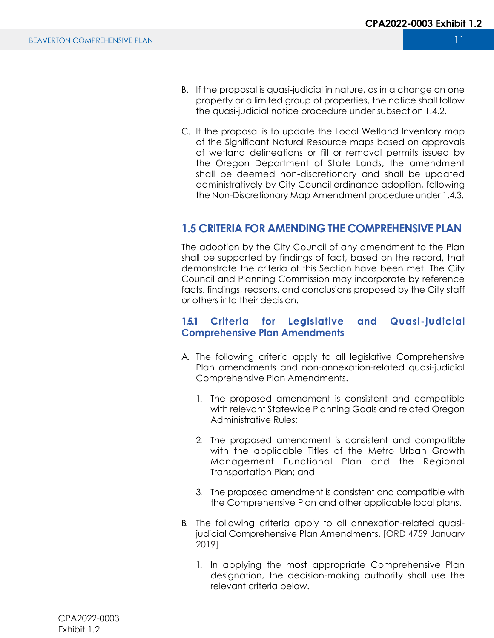- B. If the proposal is quasi-judicial in nature, as in a change on one property or a limited group of properties, the notice shall follow the quasi-judicial notice procedure under subsection 1.4.2.
- C. If the proposal is to update the Local Wetland Inventory map of the Significant Natural Resource maps based on approvals of wetland delineations or fill or removal permits issued by the Oregon Department of State Lands, the amendment shall be deemed non-discretionary and shall be updated administratively by City Council ordinance adoption, following the Non-Discretionary Map Amendment procedure under 1.4.3.

# **1.5 CRITERIA FOR AMENDING THE COMPREHENSIVE PLAN**

The adoption by the City Council of any amendment to the Plan shall be supported by findings of fact, based on the record, that demonstrate the criteria of this Section have been met. The City Council and Planning Commission may incorporate by reference facts, findings, reasons, and conclusions proposed by the City staff or others into their decision.

# **1.5.1 Criteria for Legislative and Quasi-judicial Comprehensive Plan Amendments**

- A. The following criteria apply to all legislative Comprehensive Plan amendments and non-annexation-related quasi-judicial Comprehensive Plan Amendments.
	- 1. The proposed amendment is consistent and compatible with relevant Statewide Planning Goals and related Oregon Administrative Rules;
	- 2. The proposed amendment is consistent and compatible with the applicable Titles of the Metro Urban Growth Management Functional Plan and the Regional Transportation Plan; and
	- 3. The proposed amendment is consistent and compatible with the Comprehensive Plan and other applicable local plans.
- B. The following criteria apply to all annexation-related quasijudicial Comprehensive Plan Amendments. [ORD 4759 January 2019]
	- 1. In applying the most appropriate Comprehensive Plan designation, the decision-making authority shall use the relevant criteria below.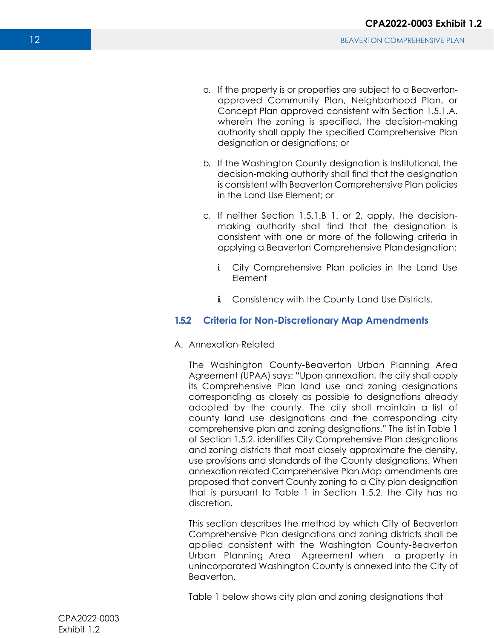- a. If the property is or properties are subject to a Beavertonapproved Community Plan, Neighborhood Plan, or Concept Plan approved consistent with Section 1.5.1.A. wherein the zoning is specified, the decision-making authority shall apply the specified Comprehensive Plan designation or designations; or
- b. If the Washington County designation is Institutional, the decision-making authority shall find that the designation is consistent with Beaverton Comprehensive Plan policies in the Land Use Element; or
- c. If neither Section 1.5.1.B 1. or 2. apply, the decisionmaking authority shall find that the designation is consistent with one or more of the following criteria in applying a Beaverton Comprehensive Plan designation:
	- i. City Comprehensive Plan policies in the Land Use Element
	- **i.** Consistency with the County Land Use Districts.

# **1.5.2 Criteria for Non-Discretionary Map Amendments**

A. Annexation-Related

The Washington County-Beaverton Urban Planning Area Agreement (UPAA) says: "Upon annexation, the city shall apply its Comprehensive Plan land use and zoning designations corresponding as closely as possible to designations already adopted by the county. The city shall maintain a list of county land use designations and the corresponding city comprehensive plan and zoning designations." The list in Table 1 of Section 1.5.2. identifies City Comprehensive Plan designations and zoning districts that most closely approximate the density, use provisions and standards of the County designations. When annexation related Comprehensive Plan Map amendments are proposed that convert County zoning to a City plan designation that is pursuant to Table 1 in Section 1.5.2. the City has no discretion.

This section describes the method by which City of Beaverton Comprehensive Plan designations and zoning districts shall be applied consistent with the Washington County-Beaverton Urban Planning Area Agreement when a property in unincorporated Washington County is annexed into the City of Beaverton.

Table 1 below shows city plan and zoning designations that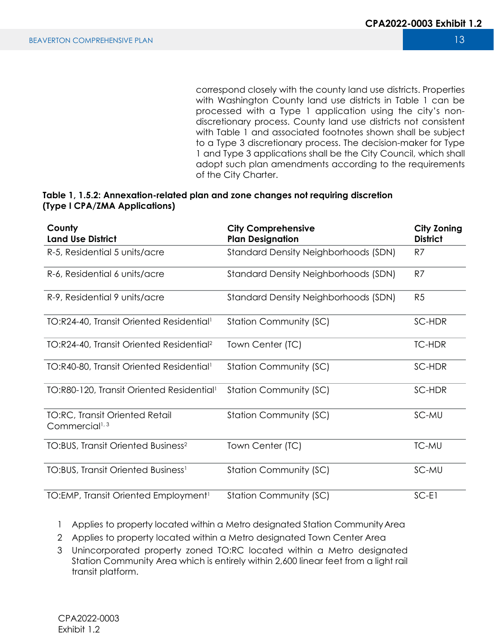correspond closely with the county land use districts. Properties with Washington County land use districts in Table 1 can be processed with a Type 1 application using the city's nondiscretionary process. County land use districts not consistent with Table 1 and associated footnotes shown shall be subject to a Type 3 discretionary process. The decision-maker for Type 1 and Type 3 applications shall be the City Council, which shall adopt such plan amendments according to the requirements of the City Charter.

#### **Table 1, 1.5.2: Annexation-related plan and zone changes not requiring discretion (Type I CPA/ZMA Applications)**

| County<br><b>Land Use District</b>                                  | <b>City Comprehensive</b><br><b>Plan Designation</b> | <b>City Zoning</b><br><b>District</b> |
|---------------------------------------------------------------------|------------------------------------------------------|---------------------------------------|
| R-5, Residential 5 units/acre                                       | <b>Standard Density Neighborhoods (SDN)</b>          | R7                                    |
| R-6, Residential 6 units/acre                                       | Standard Density Neighborhoods (SDN)                 | R7                                    |
| R-9, Residential 9 units/acre                                       | <b>Standard Density Neighborhoods (SDN)</b>          | R <sub>5</sub>                        |
| TO:R24-40, Transit Oriented Residential <sup>1</sup>                | <b>Station Community (SC)</b>                        | SC-HDR                                |
| TO:R24-40, Transit Oriented Residential <sup>2</sup>                | Town Center (TC)                                     | <b>TC-HDR</b>                         |
| TO:R40-80, Transit Oriented Residential <sup>1</sup>                | <b>Station Community (SC)</b>                        | SC-HDR                                |
| TO:R80-120, Transit Oriented Residential <sup>1</sup>               | <b>Station Community (SC)</b>                        | SC-HDR                                |
| <b>TO:RC, Transit Oriented Retail</b><br>Commercial <sup>1, 3</sup> | <b>Station Community (SC)</b>                        | SC-MU                                 |
| TO:BUS, Transit Oriented Business <sup>2</sup>                      | Town Center (TC)                                     | <b>TC-MU</b>                          |
| <b>TO:BUS, Transit Oriented Business<sup>1</sup></b>                | <b>Station Community (SC)</b>                        | SC-MU                                 |
| TO: EMP, Transit Oriented Employment <sup>1</sup>                   | <b>Station Community (SC)</b>                        | $SC-E1$                               |

- 1 Applies to property located within a Metro designated Station Community Area
- 2 Applies to property located within a Metro designated Town Center Area
- 3 Unincorporated property zoned TO:RC located within a Metro designated Station Community Area which is entirely within 2,600 linear feet from a light rail transit platform.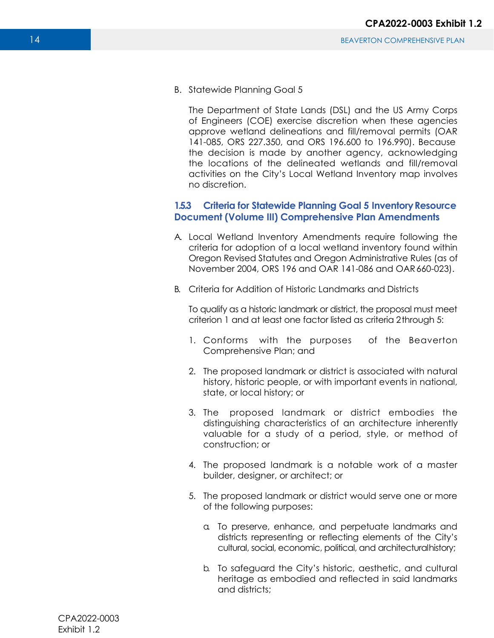B. Statewide Planning Goal 5

The Department of State Lands (DSL) and the US Army Corps of Engineers (COE) exercise discretion when these agencies approve wetland delineations and fill/removal permits (OAR 141-085, ORS 227.350, and ORS 196.600 to 196.990). Because the decision is made by another agency, acknowledging the locations of the delineated wetlands and fill/removal activities on the City's Local Wetland Inventory map involves no discretion.

# **1.5.3 Criteria for Statewide Planning Goal 5 Inventory Resource Document (Volume III) Comprehensive Plan Amendments**

- A. Local Wetland Inventory Amendments require following the criteria for adoption of a local wetland inventory found within Oregon Revised Statutes and Oregon Administrative Rules (as of November 2004, ORS 196 and OAR 141-086 and OAR 660-023).
- B. Criteria for Addition of Historic Landmarks and Districts

To qualify as a historic landmark or district, the proposal must meet criterion 1 and at least one factor listed as criteria 2 through 5:

- 1. Conforms with the purposes of the Beaverton Comprehensive Plan; and
- 2. The proposed landmark or district is associated with natural history, historic people, or with important events in national, state, or local history; or
- 3. The proposed landmark or district embodies the distinguishing characteristics of an architecture inherently valuable for a study of a period, style, or method of construction; or
- 4. The proposed landmark is a notable work of a master builder, designer, or architect; or
- 5. The proposed landmark or district would serve one or more of the following purposes:
	- a. To preserve, enhance, and perpetuate landmarks and districts representing or reflecting elements of the City's cultural, social, economic, political, and architectural history;
	- b. To safeguard the City's historic, aesthetic, and cultural heritage as embodied and reflected in said landmarks and districts;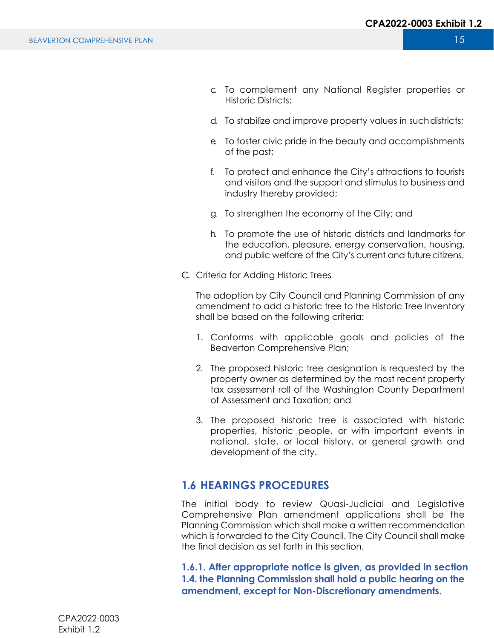- c. To complement any National Register properties or Historic Districts;
- d. To stabilize and improve property values in such districts;
- e. To foster civic pride in the beauty and accomplishments of the past;
- f. To protect and enhance the City's attractions to tourists and visitors and the support and stimulus to business and industry thereby provided;
- g. To strengthen the economy of the City; and
- h. To promote the use of historic districts and landmarks for the education, pleasure, energy conservation, housing, and public welfare of the City's current and future citizens.
- C. Criteria for Adding Historic Trees

The adoption by City Council and Planning Commission of any amendment to add a historic tree to the Historic Tree Inventory shall be based on the following criteria:

- 1. Conforms with applicable goals and policies of the Beaverton Comprehensive Plan;
- 2. The proposed historic tree designation is requested by the property owner as determined by the most recent property tax assessment roll of the Washington County Department of Assessment and Taxation; and
- 3. The proposed historic tree is associated with historic properties, historic people, or with important events in national, state, or local history, or general growth and development of the city.

# **1.6 HEARINGS PROCEDURES**

The initial body to review Quasi-Judicial and Legislative Comprehensive Plan amendment applications shall be the Planning Commission which shall make a written recommendation which is forwarded to the City Council. The City Council shall make the final decision as set forth in this section.

**1.6.1. After appropriate notice is given, as provided in section 1.4. the Planning Commission shall hold a public hearing on the amendment, except for Non-Discretionary amendments.**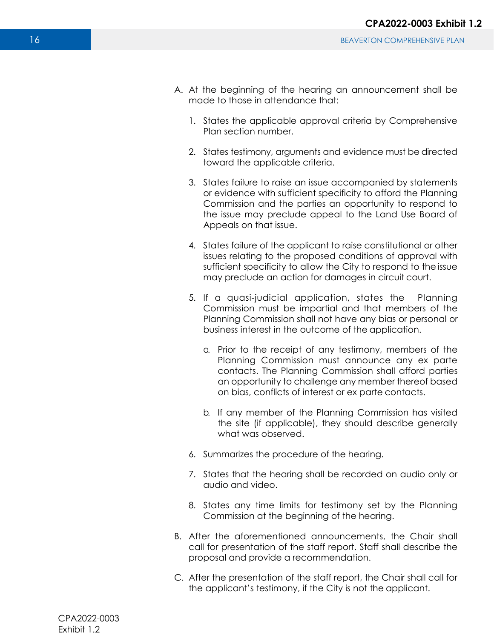- A. At the beginning of the hearing an announcement shall be made to those in attendance that:
	- 1. States the applicable approval criteria by Comprehensive Plan section number.
	- 2. States testimony, arguments and evidence must be directed toward the applicable criteria.
	- 3. States failure to raise an issue accompanied by statements or evidence with sufficient specificity to afford the Planning Commission and the parties an opportunity to respond to the issue may preclude appeal to the Land Use Board of Appeals on that issue.
	- 4. States failure of the applicant to raise constitutional or other issues relating to the proposed conditions of approval with sufficient specificity to allow the City to respond to the issue may preclude an action for damages in circuit court.
	- 5. If a quasi-judicial application, states the Planning Commission must be impartial and that members of the Planning Commission shall not have any bias or personal or business interest in the outcome of the application.
		- a. Prior to the receipt of any testimony, members of the Planning Commission must announce any ex parte contacts. The Planning Commission shall afford parties an opportunity to challenge any member thereof based on bias, conflicts of interest or ex parte contacts.
		- b. If any member of the Planning Commission has visited the site (if applicable), they should describe generally what was observed.
	- 6. Summarizes the procedure of the hearing.
	- 7. States that the hearing shall be recorded on audio only or audio and video.
	- 8. States any time limits for testimony set by the Planning Commission at the beginning of the hearing.
- B. After the aforementioned announcements, the Chair shall call for presentation of the staff report. Staff shall describe the proposal and provide a recommendation.
- C. After the presentation of the staff report, the Chair shall call for the applicant's testimony, if the City is not the applicant.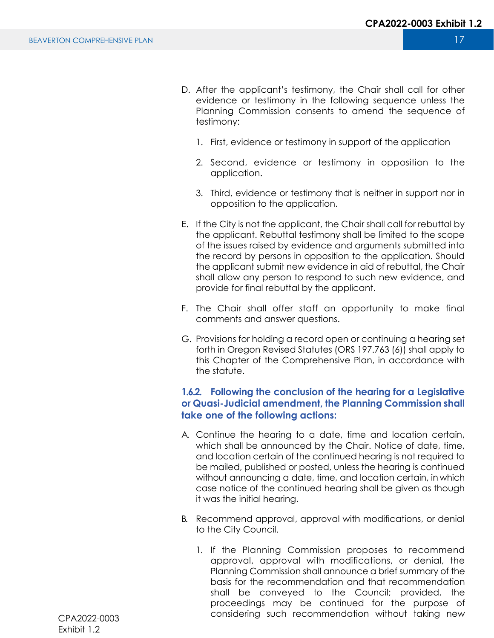- D. After the applicant's testimony, the Chair shall call for other evidence or testimony in the following sequence unless the Planning Commission consents to amend the sequence of testimony:
	- 1. First, evidence or testimony in support of the application
	- 2. Second, evidence or testimony in opposition to the application.
	- 3. Third, evidence or testimony that is neither in support nor in opposition to the application.
- E. If the City is not the applicant, the Chair shall call for rebuttal by the applicant. Rebuttal testimony shall be limited to the scope of the issues raised by evidence and arguments submitted into the record by persons in opposition to the application. Should the applicant submit new evidence in aid of rebuttal, the Chair shall allow any person to respond to such new evidence, and provide for final rebuttal by the applicant.
- F. The Chair shall offer staff an opportunity to make final comments and answer questions.
- G. Provisions for holding a record open or continuing a hearing set forth in Oregon Revised Statutes (ORS 197.763 (6)) shall apply to this Chapter of the Comprehensive Plan, in accordance with the statute.

# **1.6.2. Following the conclusion of the hearing for a Legislative or Quasi-Judicial amendment, the Planning Commission shall take one of the following actions:**

- A. Continue the hearing to a date, time and location certain, which shall be announced by the Chair. Notice of date, time, and location certain of the continued hearing is not required to be mailed, published or posted, unless the hearing is continued without announcing a date, time, and location certain, in which case notice of the continued hearing shall be given as though it was the initial hearing.
- B. Recommend approval, approval with modifications, or denial to the City Council.
	- 1. If the Planning Commission proposes to recommend approval, approval with modifications, or denial, the Planning Commission shall announce a brief summary of the basis for the recommendation and that recommendation shall be conveyed to the Council; provided, the proceedings may be continued for the purpose of considering such recommendation without taking new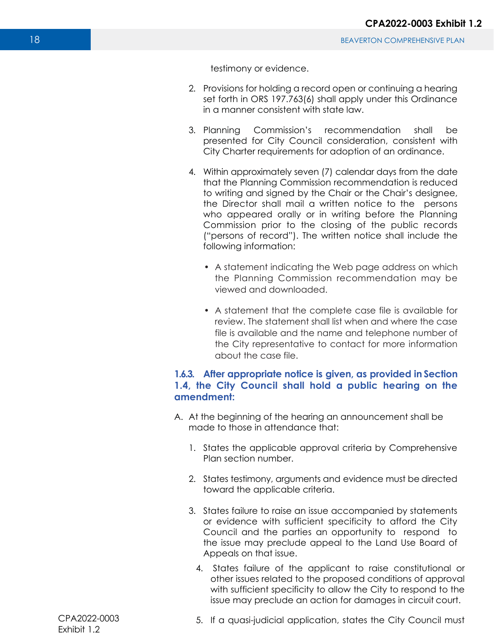testimony or evidence.

- 2. Provisions for holding a record open or continuing a hearing set forth in ORS 197.763(6) shall apply under this Ordinance in a manner consistent with state law.
- 3. Planning Commission's recommendation shall be presented for City Council consideration, consistent with City Charter requirements for adoption of an ordinance.
- 4. Within approximately seven (7) calendar days from the date that the Planning Commission recommendation is reduced to writing and signed by the Chair or the Chair's designee, the Director shall mail a written notice to the persons who appeared orally or in writing before the Planning Commission prior to the closing of the public records ("persons of record"). The written notice shall include the following information:
	- A statement indicating the Web page address on which the Planning Commission recommendation may be viewed and downloaded.
	- A statement that the complete case file is available for review. The statement shall list when and where the case file is available and the name and telephone number of the City representative to contact for more information about the case file.

### **1.6.3. After appropriate notice is given, as provided in Section 1.4, the City Council shall hold a public hearing on the amendment:**

- A. At the beginning of the hearing an announcement shall be made to those in attendance that:
	- 1. States the applicable approval criteria by Comprehensive Plan section number.
	- 2. States testimony, arguments and evidence must be directed toward the applicable criteria.
	- 3. States failure to raise an issue accompanied by statements or evidence with sufficient specificity to afford the City Council and the parties an opportunity to respond to the issue may preclude appeal to the Land Use Board of Appeals on that issue.
		- 4. States failure of the applicant to raise constitutional or other issues related to the proposed conditions of approval with sufficient specificity to allow the City to respond to the issue may preclude an action for damages in circuit court.

5. If a quasi-judicial application, states the City Council must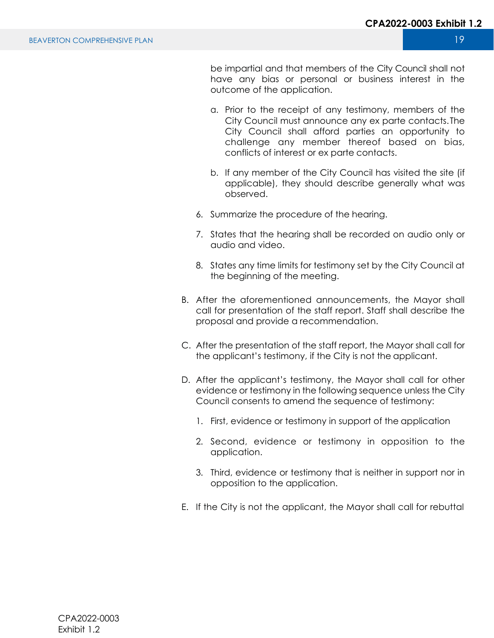be impartial and that members of the City Council shall not have any bias or personal or business interest in the outcome of the application.

- a. Prior to the receipt of any testimony, members of the City Council must announce any ex parte contacts. The City Council shall afford parties an opportunity to challenge any member thereof based on bias, conflicts of interest or ex parte contacts.
- b. If any member of the City Council has visited the site (if applicable), they should describe generally what was observed.
- 6. Summarize the procedure of the hearing.
- 7. States that the hearing shall be recorded on audio only or audio and video.
- 8. States any time limits for testimony set by the City Council at the beginning of the meeting.
- B. After the aforementioned announcements, the Mayor shall call for presentation of the staff report. Staff shall describe the proposal and provide a recommendation.
- C. After the presentation of the staff report, the Mayor shall call for the applicant's testimony, if the City is not the applicant.
- D. After the applicant's testimony, the Mayor shall call for other evidence or testimony in the following sequence unless the City Council consents to amend the sequence of testimony:
	- 1. First, evidence or testimony in support of the application
	- 2. Second, evidence or testimony in opposition to the application.
	- 3. Third, evidence or testimony that is neither in support nor in opposition to the application.
- E. If the City is not the applicant, the Mayor shall call for rebuttal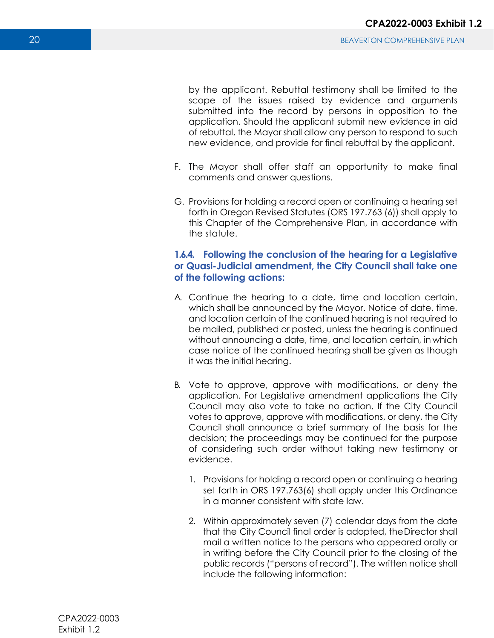by the applicant. Rebuttal testimony shall be limited to the scope of the issues raised by evidence and arguments submitted into the record by persons in opposition to the application. Should the applicant submit new evidence in aid of rebuttal, the Mayor shall allow any person to respond to such new evidence, and provide for final rebuttal by the applicant.

- F. The Mayor shall offer staff an opportunity to make final comments and answer questions.
- G. Provisions for holding a record open or continuing a hearing set forth in Oregon Revised Statutes (ORS 197.763 (6)) shall apply to this Chapter of the Comprehensive Plan, in accordance with the statute.

# **1.6.4. Following the conclusion of the hearing for a Legislative or Quasi-Judicial amendment, the City Council shall take one of the following actions:**

- A. Continue the hearing to a date, time and location certain, which shall be announced by the Mayor. Notice of date, time, and location certain of the continued hearing is not required to be mailed, published or posted, unless the hearing is continued without announcing a date, time, and location certain, in which case notice of the continued hearing shall be given as though it was the initial hearing.
- B. Vote to approve, approve with modifications, or deny the application. For Legislative amendment applications the City Council may also vote to take no action. If the City Council votes to approve, approve with modifications, or deny, the City Council shall announce a brief summary of the basis for the decision; the proceedings may be continued for the purpose of considering such order without taking new testimony or evidence.
	- 1. Provisions for holding a record open or continuing a hearing set forth in ORS 197.763(6) shall apply under this Ordinance in a manner consistent with state law.
	- 2. Within approximately seven (7) calendar days from the date that the City Council final order is adopted, the Director shall mail a written notice to the persons who appeared orally or in writing before the City Council prior to the closing of the public records ("persons of record"). The written notice shall include the following information: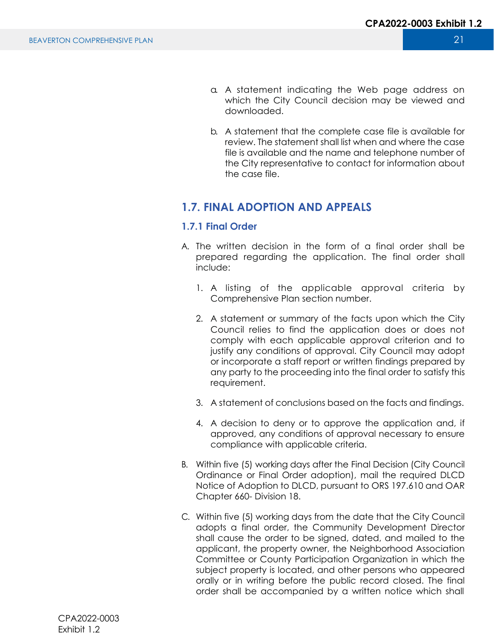- a. A statement indicating the Web page address on which the City Council decision may be viewed and downloaded.
- b. A statement that the complete case file is available for review. The statement shall list when and where the case file is available and the name and telephone number of the City representative to contact for information about the case file.

# **1.7. FINAL ADOPTION AND APPEALS**

# **1.7.1 Final Order**

- A. The written decision in the form of a final order shall be prepared regarding the application. The final order shall include:
	- 1. A listing of the applicable approval criteria by Comprehensive Plan section number.
	- 2. A statement or summary of the facts upon which the City Council relies to find the application does or does not comply with each applicable approval criterion and to justify any conditions of approval. City Council may adopt or incorporate a staff report or written findings prepared by any party to the proceeding into the final order to satisfy this requirement.
	- 3. A statement of conclusions based on the facts and findings.
	- 4. A decision to deny or to approve the application and, if approved, any conditions of approval necessary to ensure compliance with applicable criteria.
- B. Within five (5) working days after the Final Decision (City Council Ordinance or Final Order adoption), mail the required DLCD Notice of Adoption to DLCD, pursuant to ORS 197.610 and OAR Chapter 660- Division 18.
- C. Within five (5) working days from the date that the City Council adopts a final order, the Community Development Director shall cause the order to be signed, dated, and mailed to the applicant, the property owner, the Neighborhood Association Committee or County Participation Organization in which the subject property is located, and other persons who appeared orally or in writing before the public record closed. The final order shall be accompanied by a written notice which shall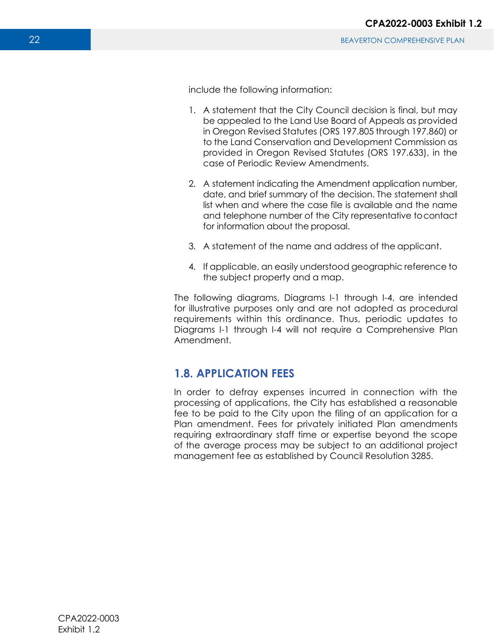include the following information:

- 1. A statement that the City Council decision is final, but may be appealed to the Land Use Board of Appeals as provided in Oregon Revised Statutes (ORS 197.805 through 197.860) or to the Land Conservation and Development Commission as provided in Oregon Revised Statutes (ORS 197.633), in the case of Periodic Review Amendments.
- 2. A statement indicating the Amendment application number, date, and brief summary of the decision. The statement shall list when and where the case file is available and the name and telephone number of the City representative to contact for information about the proposal.
- 3. A statement of the name and address of the applicant.
- 4. If applicable, an easily understood geographic reference to the subject property and a map.

The following diagrams, Diagrams I-1 through I-4, are intended for illustrative purposes only and are not adopted as procedural requirements within this ordinance. Thus, periodic updates to Diagrams I-1 through I-4 will not require a Comprehensive Plan Amendment.

# **1.8. APPLICATION FEES**

In order to defray expenses incurred in connection with the processing of applications, the City has established a reasonable fee to be paid to the City upon the filing of an application for a Plan amendment. Fees for privately initiated Plan amendments requiring extraordinary staff time or expertise beyond the scope of the average process may be subject to an additional project management fee as established by Council Resolution 3285.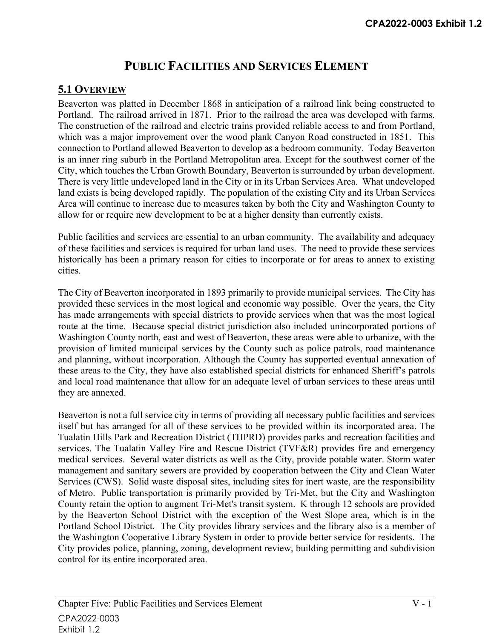# **PUBLIC FACILITIES AND SERVICES ELEMENT**

# **5.1 OVERVIEW**

Beaverton was platted in December 1868 in anticipation of a railroad link being constructed to Portland. The railroad arrived in 1871. Prior to the railroad the area was developed with farms. The construction of the railroad and electric trains provided reliable access to and from Portland, which was a major improvement over the wood plank Canyon Road constructed in 1851. This connection to Portland allowed Beaverton to develop as a bedroom community. Today Beaverton is an inner ring suburb in the Portland Metropolitan area. Except for the southwest corner of the City, which touches the Urban Growth Boundary, Beaverton is surrounded by urban development. There is very little undeveloped land in the City or in its Urban Services Area. What undeveloped land exists is being developed rapidly. The population of the existing City and its Urban Services Area will continue to increase due to measures taken by both the City and Washington County to allow for or require new development to be at a higher density than currently exists.

Public facilities and services are essential to an urban community. The availability and adequacy of these facilities and services is required for urban land uses. The need to provide these services historically has been a primary reason for cities to incorporate or for areas to annex to existing cities.

The City of Beaverton incorporated in 1893 primarily to provide municipal services. The City has provided these services in the most logical and economic way possible. Over the years, the City has made arrangements with special districts to provide services when that was the most logical route at the time. Because special district jurisdiction also included unincorporated portions of Washington County north, east and west of Beaverton, these areas were able to urbanize, with the provision of limited municipal services by the County such as police patrols, road maintenance and planning, without incorporation. Although the County has supported eventual annexation of these areas to the City, they have also established special districts for enhanced Sheriff's patrols and local road maintenance that allow for an adequate level of urban services to these areas until they are annexed.

Beaverton is not a full service city in terms of providing all necessary public facilities and services itself but has arranged for all of these services to be provided within its incorporated area. The Tualatin Hills Park and Recreation District (THPRD) provides parks and recreation facilities and services. The Tualatin Valley Fire and Rescue District (TVF&R) provides fire and emergency medical services. Several water districts as well as the City, provide potable water. Storm water management and sanitary sewers are provided by cooperation between the City and Clean Water Services (CWS). Solid waste disposal sites, including sites for inert waste, are the responsibility of Metro. Public transportation is primarily provided by Tri-Met, but the City and Washington County retain the option to augment Tri-Met's transit system. K through 12 schools are provided by the Beaverton School District with the exception of the West Slope area, which is in the Portland School District. The City provides library services and the library also is a member of the Washington Cooperative Library System in order to provide better service for residents. The City provides police, planning, zoning, development review, building permitting and subdivision control for its entire incorporated area.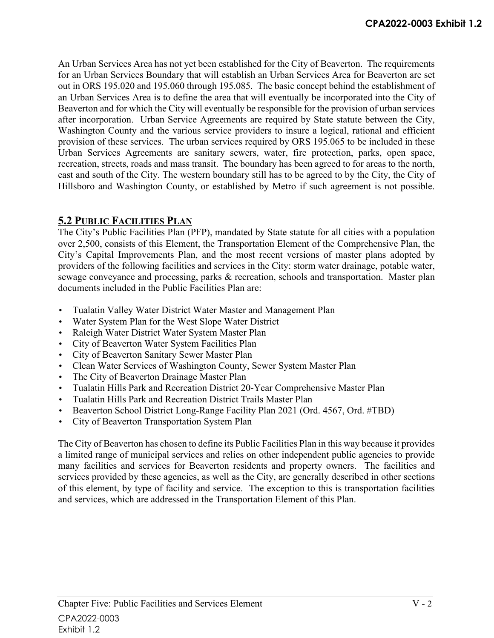An Urban Services Area has not yet been established for the City of Beaverton. The requirements for an Urban Services Boundary that will establish an Urban Services Area for Beaverton are set out in ORS 195.020 and 195.060 through 195.085. The basic concept behind the establishment of an Urban Services Area is to define the area that will eventually be incorporated into the City of Beaverton and for which the City will eventually be responsible for the provision of urban services after incorporation. Urban Service Agreements are required by State statute between the City, Washington County and the various service providers to insure a logical, rational and efficient provision of these services. The urban services required by ORS 195.065 to be included in these Urban Services Agreements are sanitary sewers, water, fire protection, parks, open space, recreation, streets, roads and mass transit. The boundary has been agreed to for areas to the north, east and south of the City. The western boundary still has to be agreed to by the City, the City of Hillsboro and Washington County, or established by Metro if such agreement is not possible.

# **5.2 PUBLIC FACILITIES PLAN**

The City's Public Facilities Plan (PFP), mandated by State statute for all cities with a population over 2,500, consists of this Element, the Transportation Element of the Comprehensive Plan, the City's Capital Improvements Plan, and the most recent versions of master plans adopted by providers of the following facilities and services in the City: storm water drainage, potable water, sewage conveyance and processing, parks & recreation, schools and transportation. Master plan documents included in the Public Facilities Plan are:

- Tualatin Valley Water District Water Master and Management Plan
- Water System Plan for the West Slope Water District
- Raleigh Water District Water System Master Plan
- City of Beaverton Water System Facilities Plan
- City of Beaverton Sanitary Sewer Master Plan
- Clean Water Services of Washington County, Sewer System Master Plan
- The City of Beaverton Drainage Master Plan
- Tualatin Hills Park and Recreation District 20-Year Comprehensive Master Plan
- Tualatin Hills Park and Recreation District Trails Master Plan
- Beaverton School District Long-Range Facility Plan 2021 (Ord. 4567, Ord. #TBD)
- City of Beaverton Transportation System Plan

The City of Beaverton has chosen to define its Public Facilities Plan in this way because it provides a limited range of municipal services and relies on other independent public agencies to provide many facilities and services for Beaverton residents and property owners. The facilities and services provided by these agencies, as well as the City, are generally described in other sections of this element, by type of facility and service. The exception to this is transportation facilities and services, which are addressed in the Transportation Element of this Plan.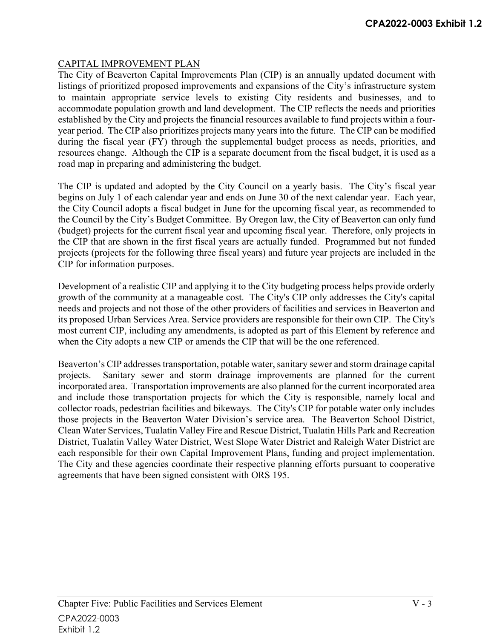### CAPITAL IMPROVEMENT PLAN

The City of Beaverton Capital Improvements Plan (CIP) is an annually updated document with listings of prioritized proposed improvements and expansions of the City's infrastructure system to maintain appropriate service levels to existing City residents and businesses, and to accommodate population growth and land development. The CIP reflects the needs and priorities established by the City and projects the financial resources available to fund projects within a fouryear period. The CIP also prioritizes projects many years into the future. The CIP can be modified during the fiscal year (FY) through the supplemental budget process as needs, priorities, and resources change. Although the CIP is a separate document from the fiscal budget, it is used as a road map in preparing and administering the budget.

The CIP is updated and adopted by the City Council on a yearly basis. The City's fiscal year begins on July 1 of each calendar year and ends on June 30 of the next calendar year. Each year, the City Council adopts a fiscal budget in June for the upcoming fiscal year, as recommended to the Council by the City's Budget Committee. By Oregon law, the City of Beaverton can only fund (budget) projects for the current fiscal year and upcoming fiscal year. Therefore, only projects in the CIP that are shown in the first fiscal years are actually funded. Programmed but not funded projects (projects for the following three fiscal years) and future year projects are included in the CIP for information purposes.

Development of a realistic CIP and applying it to the City budgeting process helps provide orderly growth of the community at a manageable cost. The City's CIP only addresses the City's capital needs and projects and not those of the other providers of facilities and services in Beaverton and its proposed Urban Services Area. Service providers are responsible for their own CIP. The City's most current CIP, including any amendments, is adopted as part of this Element by reference and when the City adopts a new CIP or amends the CIP that will be the one referenced.

Beaverton's CIP addresses transportation, potable water, sanitary sewer and storm drainage capital projects. Sanitary sewer and storm drainage improvements are planned for the current incorporated area. Transportation improvements are also planned for the current incorporated area and include those transportation projects for which the City is responsible, namely local and collector roads, pedestrian facilities and bikeways. The City's CIP for potable water only includes those projects in the Beaverton Water Division's service area. The Beaverton School District, Clean Water Services, Tualatin Valley Fire and Rescue District, Tualatin Hills Park and Recreation District, Tualatin Valley Water District, West Slope Water District and Raleigh Water District are each responsible for their own Capital Improvement Plans, funding and project implementation. The City and these agencies coordinate their respective planning efforts pursuant to cooperative agreements that have been signed consistent with ORS 195.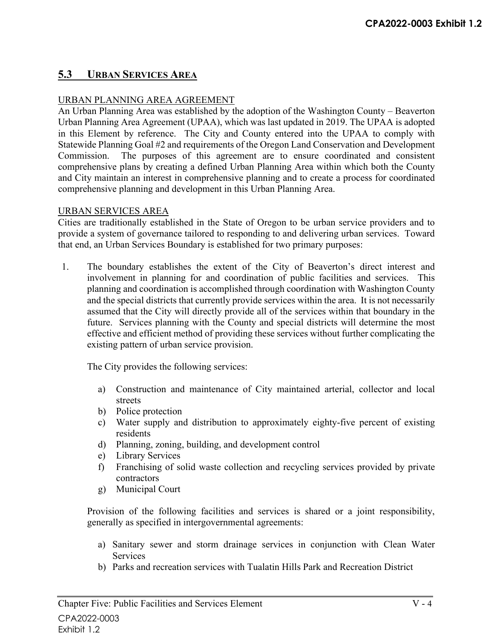# **5.3 URBAN SERVICES AREA**

### URBAN PLANNING AREA AGREEMENT

An Urban Planning Area was established by the adoption of the Washington County – Beaverton Urban Planning Area Agreement (UPAA), which was last updated in 2019. The UPAA is adopted in this Element by reference. The City and County entered into the UPAA to comply with Statewide Planning Goal #2 and requirements of the Oregon Land Conservation and Development Commission. The purposes of this agreement are to ensure coordinated and consistent comprehensive plans by creating a defined Urban Planning Area within which both the County and City maintain an interest in comprehensive planning and to create a process for coordinated comprehensive planning and development in this Urban Planning Area.

#### URBAN SERVICES AREA

Cities are traditionally established in the State of Oregon to be urban service providers and to provide a system of governance tailored to responding to and delivering urban services. Toward that end, an Urban Services Boundary is established for two primary purposes:

1. The boundary establishes the extent of the City of Beaverton's direct interest and involvement in planning for and coordination of public facilities and services. This planning and coordination is accomplished through coordination with Washington County and the special districts that currently provide services within the area. It is not necessarily assumed that the City will directly provide all of the services within that boundary in the future. Services planning with the County and special districts will determine the most effective and efficient method of providing these services without further complicating the existing pattern of urban service provision.

The City provides the following services:

- a) Construction and maintenance of City maintained arterial, collector and local streets
- b) Police protection
- c) Water supply and distribution to approximately eighty-five percent of existing residents
- d) Planning, zoning, building, and development control
- e) Library Services
- f) Franchising of solid waste collection and recycling services provided by private contractors
- g) Municipal Court

Provision of the following facilities and services is shared or a joint responsibility, generally as specified in intergovernmental agreements:

- a) Sanitary sewer and storm drainage services in conjunction with Clean Water **Services**
- b) Parks and recreation services with Tualatin Hills Park and Recreation District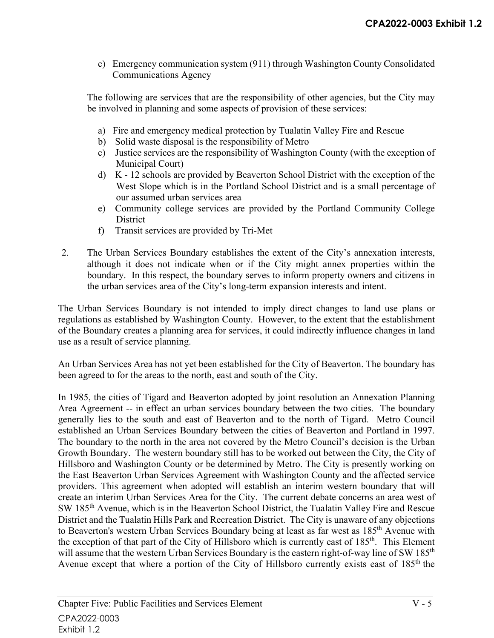c) Emergency communication system (911) through Washington County Consolidated Communications Agency

The following are services that are the responsibility of other agencies, but the City may be involved in planning and some aspects of provision of these services:

- a) Fire and emergency medical protection by Tualatin Valley Fire and Rescue
- b) Solid waste disposal is the responsibility of Metro
- c) Justice services are the responsibility of Washington County (with the exception of Municipal Court)
- d) K 12 schools are provided by Beaverton School District with the exception of the West Slope which is in the Portland School District and is a small percentage of our assumed urban services area
- e) Community college services are provided by the Portland Community College **District**
- f) Transit services are provided by Tri-Met
- 2. The Urban Services Boundary establishes the extent of the City's annexation interests, although it does not indicate when or if the City might annex properties within the boundary. In this respect, the boundary serves to inform property owners and citizens in the urban services area of the City's long-term expansion interests and intent.

The Urban Services Boundary is not intended to imply direct changes to land use plans or regulations as established by Washington County. However, to the extent that the establishment of the Boundary creates a planning area for services, it could indirectly influence changes in land use as a result of service planning.

An Urban Services Area has not yet been established for the City of Beaverton. The boundary has been agreed to for the areas to the north, east and south of the City.

In 1985, the cities of Tigard and Beaverton adopted by joint resolution an Annexation Planning Area Agreement -- in effect an urban services boundary between the two cities. The boundary generally lies to the south and east of Beaverton and to the north of Tigard. Metro Council established an Urban Services Boundary between the cities of Beaverton and Portland in 1997. The boundary to the north in the area not covered by the Metro Council's decision is the Urban Growth Boundary. The western boundary still has to be worked out between the City, the City of Hillsboro and Washington County or be determined by Metro. The City is presently working on the East Beaverton Urban Services Agreement with Washington County and the affected service providers. This agreement when adopted will establish an interim western boundary that will create an interim Urban Services Area for the City. The current debate concerns an area west of SW 185th Avenue, which is in the Beaverton School District, the Tualatin Valley Fire and Rescue District and the Tualatin Hills Park and Recreation District. The City is unaware of any objections to Beaverton's western Urban Services Boundary being at least as far west as 185<sup>th</sup> Avenue with the exception of that part of the City of Hillsboro which is currently east of 185<sup>th</sup>. This Element will assume that the western Urban Services Boundary is the eastern right-of-way line of SW 185<sup>th</sup> Avenue except that where a portion of the City of Hillsboro currently exists east of 185<sup>th</sup> the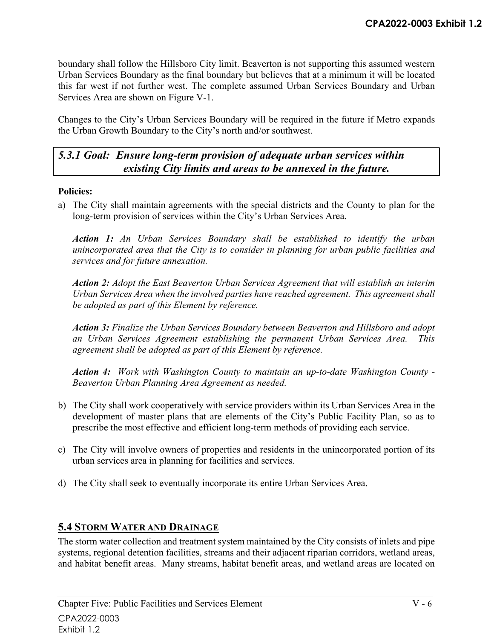boundary shall follow the Hillsboro City limit. Beaverton is not supporting this assumed western Urban Services Boundary as the final boundary but believes that at a minimum it will be located this far west if not further west. The complete assumed Urban Services Boundary and Urban Services Area are shown on Figure V-1.

Changes to the City's Urban Services Boundary will be required in the future if Metro expands the Urban Growth Boundary to the City's north and/or southwest.

# *5.3.1 Goal: Ensure long-term provision of adequate urban services within existing City limits and areas to be annexed in the future.*

### **Policies:**

a) The City shall maintain agreements with the special districts and the County to plan for the long-term provision of services within the City's Urban Services Area.

*Action 1: An Urban Services Boundary shall be established to identify the urban unincorporated area that the City is to consider in planning for urban public facilities and services and for future annexation.* 

*Action 2: Adopt the East Beaverton Urban Services Agreement that will establish an interim Urban Services Area when the involved parties have reached agreement. This agreement shall be adopted as part of this Element by reference.* 

*Action 3: Finalize the Urban Services Boundary between Beaverton and Hillsboro and adopt an Urban Services Agreement establishing the permanent Urban Services Area. This agreement shall be adopted as part of this Element by reference.* 

*Action 4: Work with Washington County to maintain an up-to-date Washington County - Beaverton Urban Planning Area Agreement as needed.* 

- b) The City shall work cooperatively with service providers within its Urban Services Area in the development of master plans that are elements of the City's Public Facility Plan, so as to prescribe the most effective and efficient long-term methods of providing each service.
- c) The City will involve owners of properties and residents in the unincorporated portion of its urban services area in planning for facilities and services.
- d) The City shall seek to eventually incorporate its entire Urban Services Area.

# **5.4 STORM WATER AND DRAINAGE**

The storm water collection and treatment system maintained by the City consists of inlets and pipe systems, regional detention facilities, streams and their adjacent riparian corridors, wetland areas, and habitat benefit areas. Many streams, habitat benefit areas, and wetland areas are located on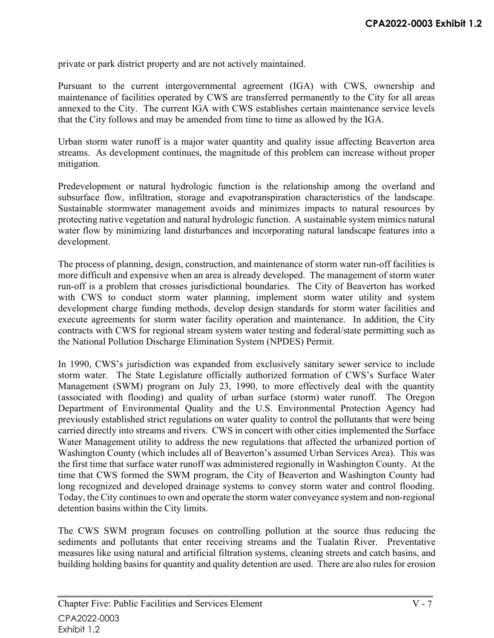private or park district property and are not actively maintained.

Pursuant to the current intergovernmental agreement (IGA) with CWS, ownership and maintenance of facilities operated by CWS are transferred permanently to the City for all areas annexed to the City. The current IGA with CWS establishes certain maintenance service levels that the City follows and may be amended from time to time as allowed by the IGA.

Urban storm water runoff is a major water quantity and quality issue affecting Beaverton area streams. As development continues, the magnitude of this problem can increase without proper mitigation.

Predevelopment or natural hydrologic function is the relationship among the overland and subsurface flow, infiltration, storage and evapotranspiration characteristics of the landscape. Sustainable stormwater management avoids and minimizes impacts to natural resources by protecting native vegetation and natural hydrologic function. A sustainable system mimics natural water flow by minimizing land disturbances and incorporating natural landscape features into a development.

The process of planning, design, construction, and maintenance of storm water run-off facilities is more difficult and expensive when an area is already developed. The management of storm water run-off is a problem that crosses jurisdictional boundaries. The City of Beaverton has worked with CWS to conduct storm water planning, implement storm water utility and system development charge funding methods, develop design standards for storm water facilities and execute agreements for storm water facility operation and maintenance. In addition, the City contracts with CWS for regional stream system water testing and federal/state permitting such as the National Pollution Discharge Elimination System (NPDES) Permit.

In 1990, CWS's jurisdiction was expanded from exclusively sanitary sewer service to include storm water. The State Legislature officially authorized formation of CWS's Surface Water Management (SWM) program on July 23, 1990, to more effectively deal with the quantity (associated with flooding) and quality of urban surface (storm) water runoff. The Oregon Department of Environmental Quality and the U.S. Environmental Protection Agency had previously established strict regulations on water quality to control the pollutants that were being carried directly into streams and rivers. CWS in concert with other cities implemented the Surface Water Management utility to address the new regulations that affected the urbanized portion of Washington County (which includes all of Beaverton's assumed Urban Services Area). This was the first time that surface water runoff was administered regionally in Washington County. At the time that CWS formed the SWM program, the City of Beaverton and Washington County had long recognized and developed drainage systems to convey storm water and control flooding. Today, the City continues to own and operate the storm water conveyance system and non-regional detention basins within the City limits.

The CWS SWM program focuses on controlling pollution at the source thus reducing the sediments and pollutants that enter receiving streams and the Tualatin River. Preventative measures like using natural and artificial filtration systems, cleaning streets and catch basins, and building holding basins for quantity and quality detention are used. There are also rules for erosion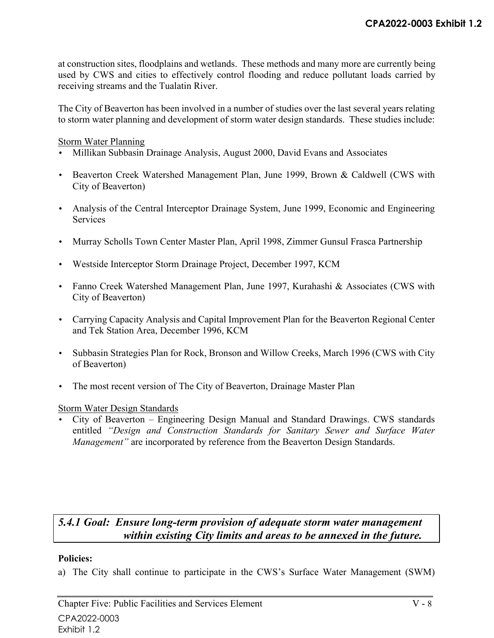at construction sites, floodplains and wetlands. These methods and many more are currently being used by CWS and cities to effectively control flooding and reduce pollutant loads carried by receiving streams and the Tualatin River.

The City of Beaverton has been involved in a number of studies over the last several years relating to storm water planning and development of storm water design standards. These studies include:

#### Storm Water Planning

- Millikan Subbasin Drainage Analysis, August 2000, David Evans and Associates
- Beaverton Creek Watershed Management Plan, June 1999, Brown & Caldwell (CWS with City of Beaverton)
- Analysis of the Central Interceptor Drainage System, June 1999, Economic and Engineering **Services**
- Murray Scholls Town Center Master Plan, April 1998, Zimmer Gunsul Frasca Partnership
- Westside Interceptor Storm Drainage Project, December 1997, KCM
- Fanno Creek Watershed Management Plan, June 1997, Kurahashi & Associates (CWS with City of Beaverton)
- Carrying Capacity Analysis and Capital Improvement Plan for the Beaverton Regional Center and Tek Station Area, December 1996, KCM
- Subbasin Strategies Plan for Rock, Bronson and Willow Creeks, March 1996 (CWS with City of Beaverton)
- The most recent version of The City of Beaverton, Drainage Master Plan

### Storm Water Design Standards

• City of Beaverton – Engineering Design Manual and Standard Drawings. CWS standards entitled *"Design and Construction Standards for Sanitary Sewer and Surface Water Management*" are incorporated by reference from the Beaverton Design Standards.

# *5.4.1 Goal: Ensure long-term provision of adequate storm water management within existing City limits and areas to be annexed in the future.*

#### **Policies:**

a) The City shall continue to participate in the CWS's Surface Water Management (SWM)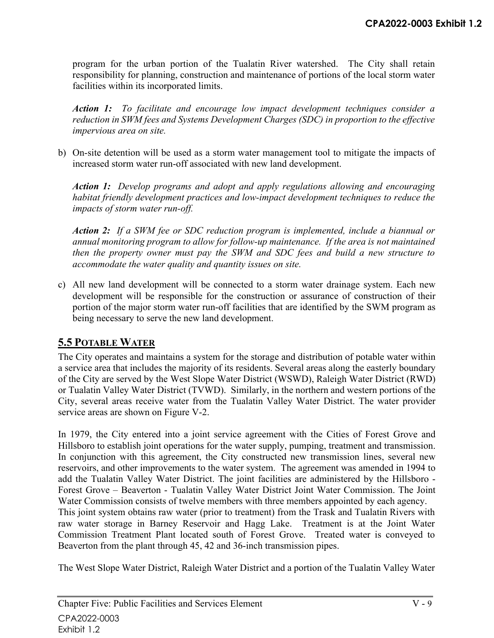program for the urban portion of the Tualatin River watershed. The City shall retain responsibility for planning, construction and maintenance of portions of the local storm water facilities within its incorporated limits.

*Action 1: To facilitate and encourage low impact development techniques consider a reduction in SWM fees and Systems Development Charges (SDC) in proportion to the effective impervious area on site.* 

b) On-site detention will be used as a storm water management tool to mitigate the impacts of increased storm water run-off associated with new land development.

*Action 1: Develop programs and adopt and apply regulations allowing and encouraging habitat friendly development practices and low-impact development techniques to reduce the impacts of storm water run-off.* 

*Action 2: If a SWM fee or SDC reduction program is implemented, include a biannual or annual monitoring program to allow for follow-up maintenance. If the area is not maintained then the property owner must pay the SWM and SDC fees and build a new structure to accommodate the water quality and quantity issues on site.* 

c) All new land development will be connected to a storm water drainage system. Each new development will be responsible for the construction or assurance of construction of their portion of the major storm water run-off facilities that are identified by the SWM program as being necessary to serve the new land development.

# **5.5 POTABLE WATER**

The City operates and maintains a system for the storage and distribution of potable water within a service area that includes the majority of its residents. Several areas along the easterly boundary of the City are served by the West Slope Water District (WSWD), Raleigh Water District (RWD) or Tualatin Valley Water District (TVWD). Similarly, in the northern and western portions of the City, several areas receive water from the Tualatin Valley Water District. The water provider service areas are shown on Figure V-2.

In 1979, the City entered into a joint service agreement with the Cities of Forest Grove and Hillsboro to establish joint operations for the water supply, pumping, treatment and transmission. In conjunction with this agreement, the City constructed new transmission lines, several new reservoirs, and other improvements to the water system. The agreement was amended in 1994 to add the Tualatin Valley Water District. The joint facilities are administered by the Hillsboro - Forest Grove – Beaverton - Tualatin Valley Water District Joint Water Commission. The Joint Water Commission consists of twelve members with three members appointed by each agency. This joint system obtains raw water (prior to treatment) from the Trask and Tualatin Rivers with raw water storage in Barney Reservoir and Hagg Lake. Treatment is at the Joint Water Commission Treatment Plant located south of Forest Grove. Treated water is conveyed to Beaverton from the plant through 45, 42 and 36-inch transmission pipes.

The West Slope Water District, Raleigh Water District and a portion of the Tualatin Valley Water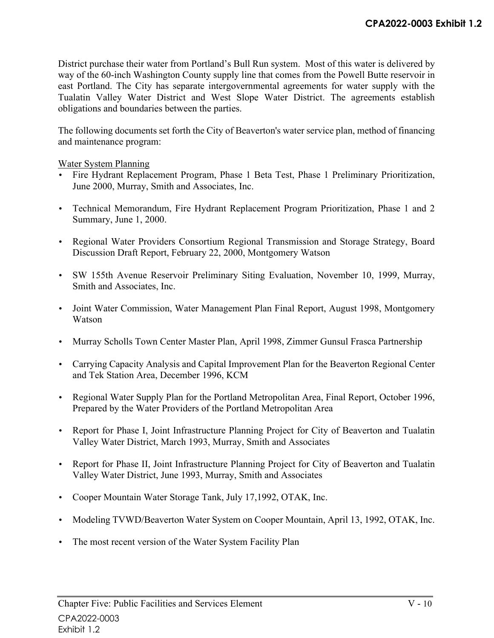District purchase their water from Portland's Bull Run system. Most of this water is delivered by way of the 60-inch Washington County supply line that comes from the Powell Butte reservoir in east Portland. The City has separate intergovernmental agreements for water supply with the Tualatin Valley Water District and West Slope Water District. The agreements establish obligations and boundaries between the parties.

The following documents set forth the City of Beaverton's water service plan, method of financing and maintenance program:

Water System Planning

- Fire Hydrant Replacement Program, Phase 1 Beta Test, Phase 1 Preliminary Prioritization, June 2000, Murray, Smith and Associates, Inc.
- Technical Memorandum, Fire Hydrant Replacement Program Prioritization, Phase 1 and 2 Summary, June 1, 2000.
- Regional Water Providers Consortium Regional Transmission and Storage Strategy, Board Discussion Draft Report, February 22, 2000, Montgomery Watson
- SW 155th Avenue Reservoir Preliminary Siting Evaluation, November 10, 1999, Murray, Smith and Associates, Inc.
- Joint Water Commission, Water Management Plan Final Report, August 1998, Montgomery Watson
- Murray Scholls Town Center Master Plan, April 1998, Zimmer Gunsul Frasca Partnership
- Carrying Capacity Analysis and Capital Improvement Plan for the Beaverton Regional Center and Tek Station Area, December 1996, KCM
- Regional Water Supply Plan for the Portland Metropolitan Area, Final Report, October 1996, Prepared by the Water Providers of the Portland Metropolitan Area
- Report for Phase I, Joint Infrastructure Planning Project for City of Beaverton and Tualatin Valley Water District, March 1993, Murray, Smith and Associates
- Report for Phase II, Joint Infrastructure Planning Project for City of Beaverton and Tualatin Valley Water District, June 1993, Murray, Smith and Associates
- Cooper Mountain Water Storage Tank, July 17,1992, OTAK, Inc.
- Modeling TVWD/Beaverton Water System on Cooper Mountain, April 13, 1992, OTAK, Inc.
- The most recent version of the Water System Facility Plan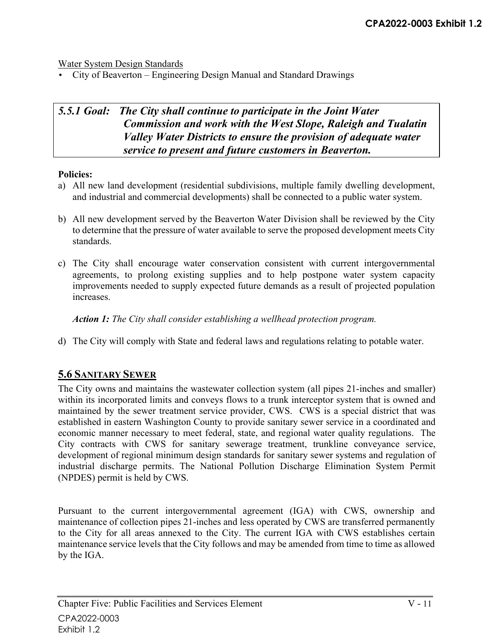Water System Design Standards

• City of Beaverton – Engineering Design Manual and Standard Drawings

# *5.5.1 Goal: The City shall continue to participate in the Joint Water Commission and work with the West Slope, Raleigh and Tualatin Valley Water Districts to ensure the provision of adequate water service to present and future customers in Beaverton.*

#### **Policies:**

- a) All new land development (residential subdivisions, multiple family dwelling development, and industrial and commercial developments) shall be connected to a public water system.
- b) All new development served by the Beaverton Water Division shall be reviewed by the City to determine that the pressure of water available to serve the proposed development meets City standards.
- c) The City shall encourage water conservation consistent with current intergovernmental agreements, to prolong existing supplies and to help postpone water system capacity improvements needed to supply expected future demands as a result of projected population increases.

*Action 1: The City shall consider establishing a wellhead protection program.* 

d) The City will comply with State and federal laws and regulations relating to potable water.

# **5.6 SANITARY SEWER**

The City owns and maintains the wastewater collection system (all pipes 21-inches and smaller) within its incorporated limits and conveys flows to a trunk interceptor system that is owned and maintained by the sewer treatment service provider, CWS. CWS is a special district that was established in eastern Washington County to provide sanitary sewer service in a coordinated and economic manner necessary to meet federal, state, and regional water quality regulations. The City contracts with CWS for sanitary sewerage treatment, trunkline conveyance service, development of regional minimum design standards for sanitary sewer systems and regulation of industrial discharge permits. The National Pollution Discharge Elimination System Permit (NPDES) permit is held by CWS.

Pursuant to the current intergovernmental agreement (IGA) with CWS, ownership and maintenance of collection pipes 21-inches and less operated by CWS are transferred permanently to the City for all areas annexed to the City. The current IGA with CWS establishes certain maintenance service levels that the City follows and may be amended from time to time as allowed by the IGA.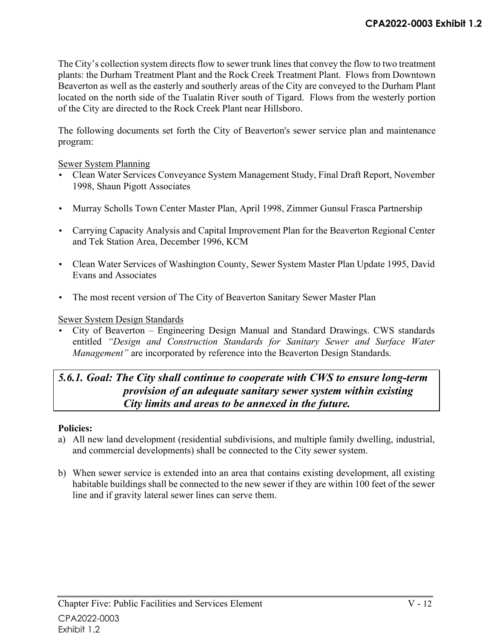The City's collection system directs flow to sewer trunk lines that convey the flow to two treatment plants: the Durham Treatment Plant and the Rock Creek Treatment Plant. Flows from Downtown Beaverton as well as the easterly and southerly areas of the City are conveyed to the Durham Plant located on the north side of the Tualatin River south of Tigard. Flows from the westerly portion of the City are directed to the Rock Creek Plant near Hillsboro.

The following documents set forth the City of Beaverton's sewer service plan and maintenance program:

#### Sewer System Planning

- Clean Water Services Conveyance System Management Study, Final Draft Report, November 1998, Shaun Pigott Associates
- Murray Scholls Town Center Master Plan, April 1998, Zimmer Gunsul Frasca Partnership
- Carrying Capacity Analysis and Capital Improvement Plan for the Beaverton Regional Center and Tek Station Area, December 1996, KCM
- Clean Water Services of Washington County, Sewer System Master Plan Update 1995, David Evans and Associates
- The most recent version of The City of Beaverton Sanitary Sewer Master Plan

### Sewer System Design Standards

• City of Beaverton – Engineering Design Manual and Standard Drawings. CWS standards entitled *"Design and Construction Standards for Sanitary Sewer and Surface Water Management*" are incorporated by reference into the Beaverton Design Standards.

# *5.6.1. Goal: The City shall continue to cooperate with CWS to ensure long-term provision of an adequate sanitary sewer system within existing City limits and areas to be annexed in the future.*

### **Policies:**

- a) All new land development (residential subdivisions, and multiple family dwelling, industrial, and commercial developments) shall be connected to the City sewer system.
- b) When sewer service is extended into an area that contains existing development, all existing habitable buildings shall be connected to the new sewer if they are within 100 feet of the sewer line and if gravity lateral sewer lines can serve them.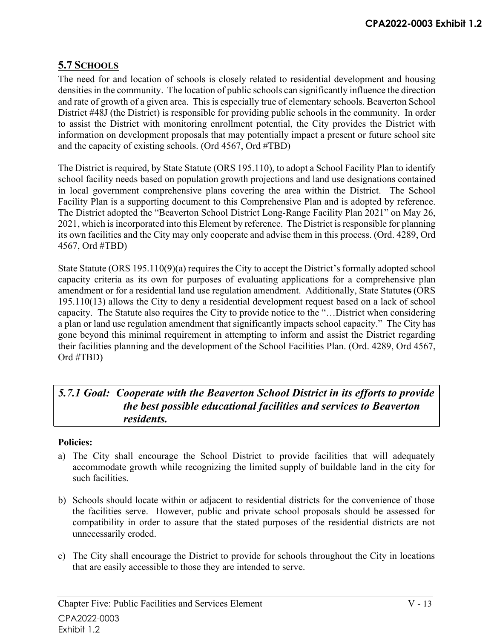# **5.7 SCHOOLS**

The need for and location of schools is closely related to residential development and housing densities in the community. The location of public schools can significantly influence the direction and rate of growth of a given area. This is especially true of elementary schools. Beaverton School District #48J (the District) is responsible for providing public schools in the community. In order to assist the District with monitoring enrollment potential, the City provides the District with information on development proposals that may potentially impact a present or future school site and the capacity of existing schools. (Ord 4567, Ord #TBD)

The District is required, by State Statute (ORS 195.110), to adopt a School Facility Plan to identify school facility needs based on population growth projections and land use designations contained in local government comprehensive plans covering the area within the District. The School Facility Plan is a supporting document to this Comprehensive Plan and is adopted by reference. The District adopted the "Beaverton School District Long-Range Facility Plan 2021" on May 26, 2021, which is incorporated into this Element by reference. The District is responsible for planning its own facilities and the City may only cooperate and advise them in this process. (Ord. 4289, Ord 4567, Ord #TBD)

State Statute (ORS 195.110(9)(a) requires the City to accept the District's formally adopted school capacity criteria as its own for purposes of evaluating applications for a comprehensive plan amendment or for a residential land use regulation amendment. Additionally, State Statutes (ORS 195.110(13) allows the City to deny a residential development request based on a lack of school capacity. The Statute also requires the City to provide notice to the "…District when considering a plan or land use regulation amendment that significantly impacts school capacity." The City has gone beyond this minimal requirement in attempting to inform and assist the District regarding their facilities planning and the development of the School Facilities Plan. (Ord. 4289, Ord 4567, Ord #TBD)

# *5.7.1 Goal: Cooperate with the Beaverton School District in its efforts to provide the best possible educational facilities and services to Beaverton residents.*

### **Policies:**

- a) The City shall encourage the School District to provide facilities that will adequately accommodate growth while recognizing the limited supply of buildable land in the city for such facilities.
- b) Schools should locate within or adjacent to residential districts for the convenience of those the facilities serve. However, public and private school proposals should be assessed for compatibility in order to assure that the stated purposes of the residential districts are not unnecessarily eroded.
- c) The City shall encourage the District to provide for schools throughout the City in locations that are easily accessible to those they are intended to serve.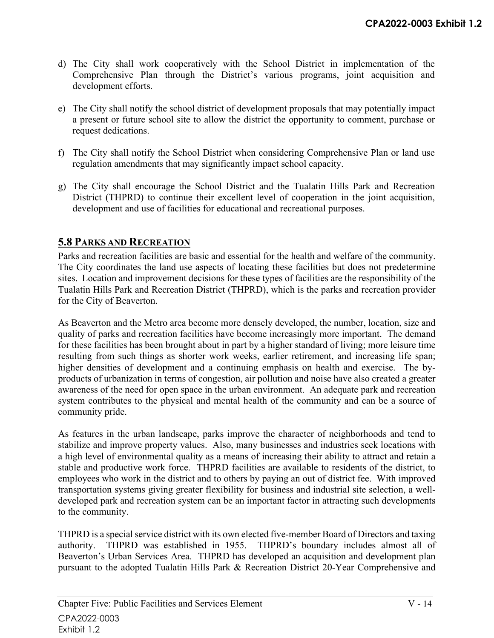- d) The City shall work cooperatively with the School District in implementation of the Comprehensive Plan through the District's various programs, joint acquisition and development efforts.
- e) The City shall notify the school district of development proposals that may potentially impact a present or future school site to allow the district the opportunity to comment, purchase or request dedications.
- f) The City shall notify the School District when considering Comprehensive Plan or land use regulation amendments that may significantly impact school capacity.
- g) The City shall encourage the School District and the Tualatin Hills Park and Recreation District (THPRD) to continue their excellent level of cooperation in the joint acquisition, development and use of facilities for educational and recreational purposes.

# **5.8 PARKS AND RECREATION**

Parks and recreation facilities are basic and essential for the health and welfare of the community. The City coordinates the land use aspects of locating these facilities but does not predetermine sites. Location and improvement decisions for these types of facilities are the responsibility of the Tualatin Hills Park and Recreation District (THPRD), which is the parks and recreation provider for the City of Beaverton.

As Beaverton and the Metro area become more densely developed, the number, location, size and quality of parks and recreation facilities have become increasingly more important. The demand for these facilities has been brought about in part by a higher standard of living; more leisure time resulting from such things as shorter work weeks, earlier retirement, and increasing life span; higher densities of development and a continuing emphasis on health and exercise. The byproducts of urbanization in terms of congestion, air pollution and noise have also created a greater awareness of the need for open space in the urban environment. An adequate park and recreation system contributes to the physical and mental health of the community and can be a source of community pride.

As features in the urban landscape, parks improve the character of neighborhoods and tend to stabilize and improve property values. Also, many businesses and industries seek locations with a high level of environmental quality as a means of increasing their ability to attract and retain a stable and productive work force. THPRD facilities are available to residents of the district, to employees who work in the district and to others by paying an out of district fee. With improved transportation systems giving greater flexibility for business and industrial site selection, a welldeveloped park and recreation system can be an important factor in attracting such developments to the community.

THPRD is a special service district with its own elected five-member Board of Directors and taxing authority. THPRD was established in 1955. THPRD's boundary includes almost all of Beaverton's Urban Services Area. THPRD has developed an acquisition and development plan pursuant to the adopted Tualatin Hills Park & Recreation District 20-Year Comprehensive and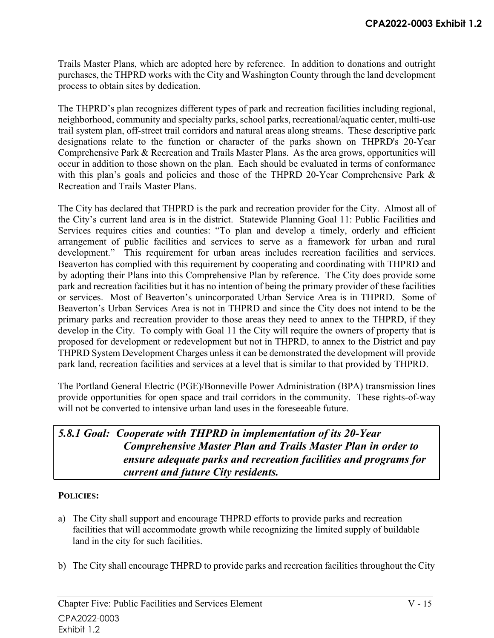Trails Master Plans, which are adopted here by reference. In addition to donations and outright purchases, the THPRD works with the City and Washington County through the land development process to obtain sites by dedication.

The THPRD's plan recognizes different types of park and recreation facilities including regional, neighborhood, community and specialty parks, school parks, recreational/aquatic center, multi-use trail system plan, off-street trail corridors and natural areas along streams. These descriptive park designations relate to the function or character of the parks shown on THPRD's 20-Year Comprehensive Park & Recreation and Trails Master Plans. As the area grows, opportunities will occur in addition to those shown on the plan. Each should be evaluated in terms of conformance with this plan's goals and policies and those of the THPRD 20-Year Comprehensive Park & Recreation and Trails Master Plans.

The City has declared that THPRD is the park and recreation provider for the City. Almost all of the City's current land area is in the district. Statewide Planning Goal 11: Public Facilities and Services requires cities and counties: "To plan and develop a timely, orderly and efficient arrangement of public facilities and services to serve as a framework for urban and rural development." This requirement for urban areas includes recreation facilities and services. Beaverton has complied with this requirement by cooperating and coordinating with THPRD and by adopting their Plans into this Comprehensive Plan by reference. The City does provide some park and recreation facilities but it has no intention of being the primary provider of these facilities or services. Most of Beaverton's unincorporated Urban Service Area is in THPRD. Some of Beaverton's Urban Services Area is not in THPRD and since the City does not intend to be the primary parks and recreation provider to those areas they need to annex to the THPRD, if they develop in the City. To comply with Goal 11 the City will require the owners of property that is proposed for development or redevelopment but not in THPRD, to annex to the District and pay THPRD System Development Charges unless it can be demonstrated the development will provide park land, recreation facilities and services at a level that is similar to that provided by THPRD.

The Portland General Electric (PGE)/Bonneville Power Administration (BPA) transmission lines provide opportunities for open space and trail corridors in the community. These rights-of-way will not be converted to intensive urban land uses in the foreseeable future.

# *5.8.1 Goal: Cooperate with THPRD in implementation of its 20-Year Comprehensive Master Plan and Trails Master Plan in order to ensure adequate parks and recreation facilities and programs for current and future City residents.*

### **POLICIES:**

- a) The City shall support and encourage THPRD efforts to provide parks and recreation facilities that will accommodate growth while recognizing the limited supply of buildable land in the city for such facilities.
- b) The City shall encourage THPRD to provide parks and recreation facilities throughout the City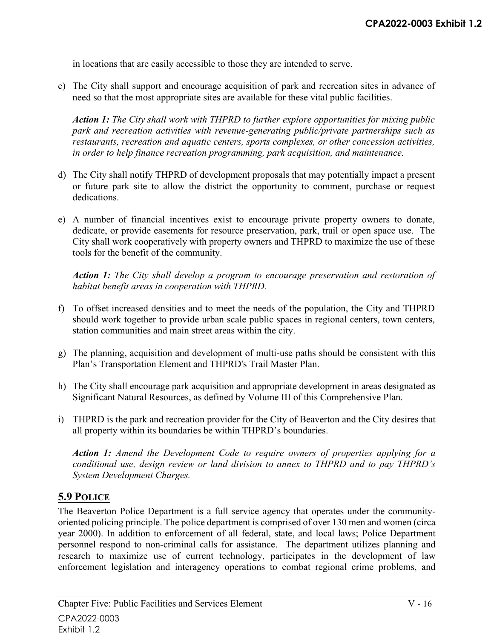in locations that are easily accessible to those they are intended to serve.

c) The City shall support and encourage acquisition of park and recreation sites in advance of need so that the most appropriate sites are available for these vital public facilities.

*Action 1: The City shall work with THPRD to further explore opportunities for mixing public park and recreation activities with revenue-generating public/private partnerships such as restaurants, recreation and aquatic centers, sports complexes, or other concession activities, in order to help finance recreation programming, park acquisition, and maintenance.* 

- d) The City shall notify THPRD of development proposals that may potentially impact a present or future park site to allow the district the opportunity to comment, purchase or request dedications.
- e) A number of financial incentives exist to encourage private property owners to donate, dedicate, or provide easements for resource preservation, park, trail or open space use. The City shall work cooperatively with property owners and THPRD to maximize the use of these tools for the benefit of the community.

*Action 1: The City shall develop a program to encourage preservation and restoration of habitat benefit areas in cooperation with THPRD.* 

- f) To offset increased densities and to meet the needs of the population, the City and THPRD should work together to provide urban scale public spaces in regional centers, town centers, station communities and main street areas within the city.
- g) The planning, acquisition and development of multi-use paths should be consistent with this Plan's Transportation Element and THPRD's Trail Master Plan.
- h) The City shall encourage park acquisition and appropriate development in areas designated as Significant Natural Resources, as defined by Volume III of this Comprehensive Plan.
- i) THPRD is the park and recreation provider for the City of Beaverton and the City desires that all property within its boundaries be within THPRD's boundaries.

*Action 1: Amend the Development Code to require owners of properties applying for a conditional use, design review or land division to annex to THPRD and to pay THPRD's System Development Charges.* 

# **5.9 POLICE**

The Beaverton Police Department is a full service agency that operates under the communityoriented policing principle. The police department is comprised of over 130 men and women (circa year 2000). In addition to enforcement of all federal, state, and local laws; Police Department personnel respond to non-criminal calls for assistance. The department utilizes planning and research to maximize use of current technology, participates in the development of law enforcement legislation and interagency operations to combat regional crime problems, and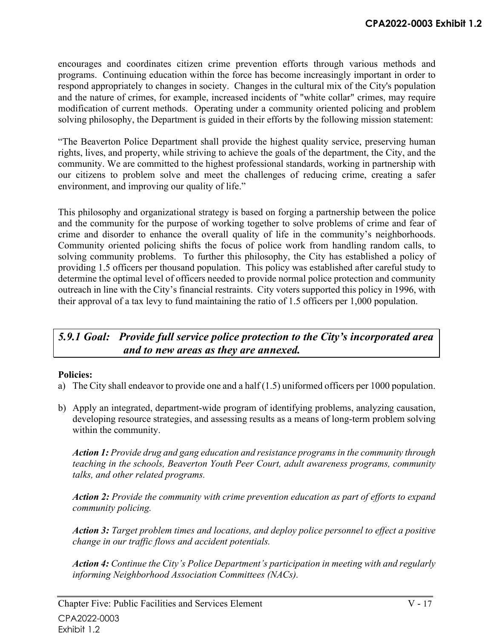encourages and coordinates citizen crime prevention efforts through various methods and programs. Continuing education within the force has become increasingly important in order to respond appropriately to changes in society. Changes in the cultural mix of the City's population and the nature of crimes, for example, increased incidents of "white collar" crimes, may require modification of current methods. Operating under a community oriented policing and problem solving philosophy, the Department is guided in their efforts by the following mission statement:

"The Beaverton Police Department shall provide the highest quality service, preserving human rights, lives, and property, while striving to achieve the goals of the department, the City, and the community. We are committed to the highest professional standards, working in partnership with our citizens to problem solve and meet the challenges of reducing crime, creating a safer environment, and improving our quality of life."

This philosophy and organizational strategy is based on forging a partnership between the police and the community for the purpose of working together to solve problems of crime and fear of crime and disorder to enhance the overall quality of life in the community's neighborhoods. Community oriented policing shifts the focus of police work from handling random calls, to solving community problems. To further this philosophy, the City has established a policy of providing 1.5 officers per thousand population. This policy was established after careful study to determine the optimal level of officers needed to provide normal police protection and community outreach in line with the City's financial restraints. City voters supported this policy in 1996, with their approval of a tax levy to fund maintaining the ratio of 1.5 officers per 1,000 population.

# *5.9.1 Goal: Provide full service police protection to the City's incorporated area and to new areas as they are annexed.*

### **Policies:**

- a) The City shall endeavor to provide one and a half (1.5) uniformed officers per 1000 population.
- b) Apply an integrated, department-wide program of identifying problems, analyzing causation, developing resource strategies, and assessing results as a means of long-term problem solving within the community.

*Action 1: Provide drug and gang education and resistance programs in the community through teaching in the schools, Beaverton Youth Peer Court, adult awareness programs, community talks, and other related programs.* 

*Action 2: Provide the community with crime prevention education as part of efforts to expand community policing.* 

*Action 3: Target problem times and locations, and deploy police personnel to effect a positive change in our traffic flows and accident potentials.* 

*Action 4: Continue the City's Police Department's participation in meeting with and regularly informing Neighborhood Association Committees (NACs).*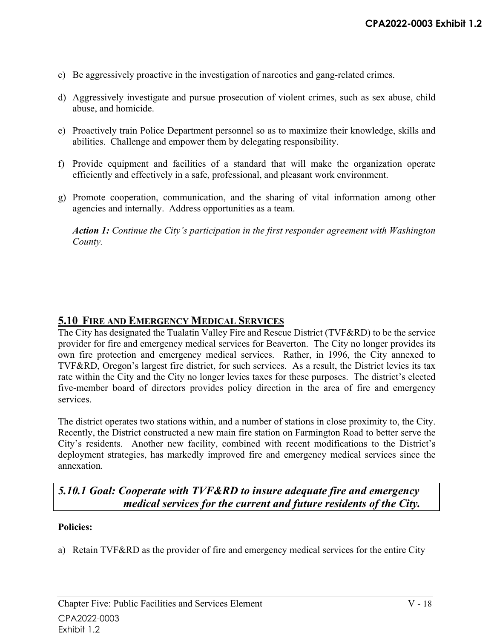- c) Be aggressively proactive in the investigation of narcotics and gang-related crimes.
- d) Aggressively investigate and pursue prosecution of violent crimes, such as sex abuse, child abuse, and homicide.
- e) Proactively train Police Department personnel so as to maximize their knowledge, skills and abilities. Challenge and empower them by delegating responsibility.
- f) Provide equipment and facilities of a standard that will make the organization operate efficiently and effectively in a safe, professional, and pleasant work environment.
- g) Promote cooperation, communication, and the sharing of vital information among other agencies and internally. Address opportunities as a team.

*Action 1: Continue the City's participation in the first responder agreement with Washington County.*

# **5.10 FIRE AND EMERGENCY MEDICAL SERVICES**

The City has designated the Tualatin Valley Fire and Rescue District (TVF&RD) to be the service provider for fire and emergency medical services for Beaverton. The City no longer provides its own fire protection and emergency medical services. Rather, in 1996, the City annexed to TVF&RD, Oregon's largest fire district, for such services. As a result, the District levies its tax rate within the City and the City no longer levies taxes for these purposes. The district's elected five-member board of directors provides policy direction in the area of fire and emergency services.

The district operates two stations within, and a number of stations in close proximity to, the City. Recently, the District constructed a new main fire station on Farmington Road to better serve the City's residents. Another new facility, combined with recent modifications to the District's deployment strategies, has markedly improved fire and emergency medical services since the annexation.

# *5.10.1 Goal: Cooperate with TVF&RD to insure adequate fire and emergency medical services for the current and future residents of the City.*

#### **Policies:**

a) Retain TVF&RD as the provider of fire and emergency medical services for the entire City